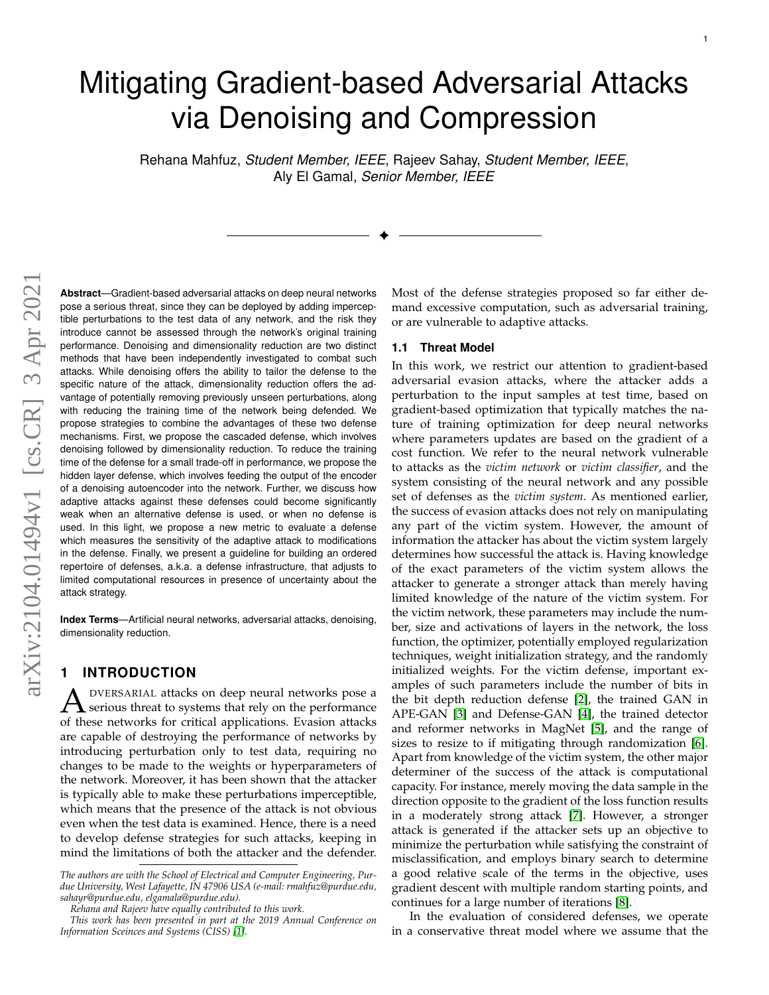# Mitigating Gradient-based Adversarial Attacks via Denoising and Compression

Rehana Mahfuz, *Student Member, IEEE*, Rajeev Sahay, *Student Member, IEEE*, Aly El Gamal, *Senior Member, IEEE*

✦

**Abstract**—Gradient-based adversarial attacks on deep neural networks pose a serious threat, since they can be deployed by adding imperceptible perturbations to the test data of any network, and the risk they introduce cannot be assessed through the network's original training performance. Denoising and dimensionality reduction are two distinct methods that have been independently investigated to combat such attacks. While denoising offers the ability to tailor the defense to the specific nature of the attack, dimensionality reduction offers the advantage of potentially removing previously unseen perturbations, along with reducing the training time of the network being defended. We propose strategies to combine the advantages of these two defense mechanisms. First, we propose the cascaded defense, which involves denoising followed by dimensionality reduction. To reduce the training time of the defense for a small trade-off in performance, we propose the hidden layer defense, which involves feeding the output of the encoder of a denoising autoencoder into the network. Further, we discuss how adaptive attacks against these defenses could become significantly weak when an alternative defense is used, or when no defense is used. In this light, we propose a new metric to evaluate a defense which measures the sensitivity of the adaptive attack to modifications in the defense. Finally, we present a guideline for building an ordered repertoire of defenses, a.k.a. a defense infrastructure, that adjusts to limited computational resources in presence of uncertainty about the attack strategy.

**Index Terms**—Artificial neural networks, adversarial attacks, denoising, dimensionality reduction.

# **1 INTRODUCTION**

A DVERSARIAL attacks on deep neural networks pose a<br>serious threat to systems that rely on the performance<br>of these networks for critical applications. Evasion attacks DVERSARIAL attacks on deep neural networks pose a of these networks for critical applications. Evasion attacks are capable of destroying the performance of networks by introducing perturbation only to test data, requiring no changes to be made to the weights or hyperparameters of the network. Moreover, it has been shown that the attacker is typically able to make these perturbations imperceptible, which means that the presence of the attack is not obvious even when the test data is examined. Hence, there is a need to develop defense strategies for such attacks, keeping in mind the limitations of both the attacker and the defender. Most of the defense strategies proposed so far either demand excessive computation, such as adversarial training, or are vulnerable to adaptive attacks.

#### **1.1 Threat Model**

In this work, we restrict our attention to gradient-based adversarial evasion attacks, where the attacker adds a perturbation to the input samples at test time, based on gradient-based optimization that typically matches the nature of training optimization for deep neural networks where parameters updates are based on the gradient of a cost function. We refer to the neural network vulnerable to attacks as the *victim network* or *victim classifier*, and the system consisting of the neural network and any possible set of defenses as the *victim system*. As mentioned earlier, the success of evasion attacks does not rely on manipulating any part of the victim system. However, the amount of information the attacker has about the victim system largely determines how successful the attack is. Having knowledge of the exact parameters of the victim system allows the attacker to generate a stronger attack than merely having limited knowledge of the nature of the victim system. For the victim network, these parameters may include the number, size and activations of layers in the network, the loss function, the optimizer, potentially employed regularization techniques, weight initialization strategy, and the randomly initialized weights. For the victim defense, important examples of such parameters include the number of bits in the bit depth reduction defense [\[2\]](#page-10-1), the trained GAN in APE-GAN [\[3\]](#page-10-2) and Defense-GAN [\[4\]](#page-10-3), the trained detector and reformer networks in MagNet [\[5\]](#page-10-4), and the range of sizes to resize to if mitigating through randomization [\[6\]](#page-10-5). Apart from knowledge of the victim system, the other major determiner of the success of the attack is computational capacity. For instance, merely moving the data sample in the direction opposite to the gradient of the loss function results in a moderately strong attack [\[7\]](#page-11-0). However, a stronger attack is generated if the attacker sets up an objective to minimize the perturbation while satisfying the constraint of misclassification, and employs binary search to determine a good relative scale of the terms in the objective, uses gradient descent with multiple random starting points, and continues for a large number of iterations [\[8\]](#page-11-1).

In the evaluation of considered defenses, we operate in a conservative threat model where we assume that the

*The authors are with the School of Electrical and Computer Engineering, Purdue University, West Lafayette, IN 47906 USA (e-mail: rmahfuz@purdue.edu, sahayr@purdue.edu, elgamala@purdue.edu).*

*Rehana and Rajeev have equally contributed to this work.*

*This work has been presented in part at the 2019 Annual Conference on Information Sceinces and Systems (CISS) [\[1\]](#page-10-0).*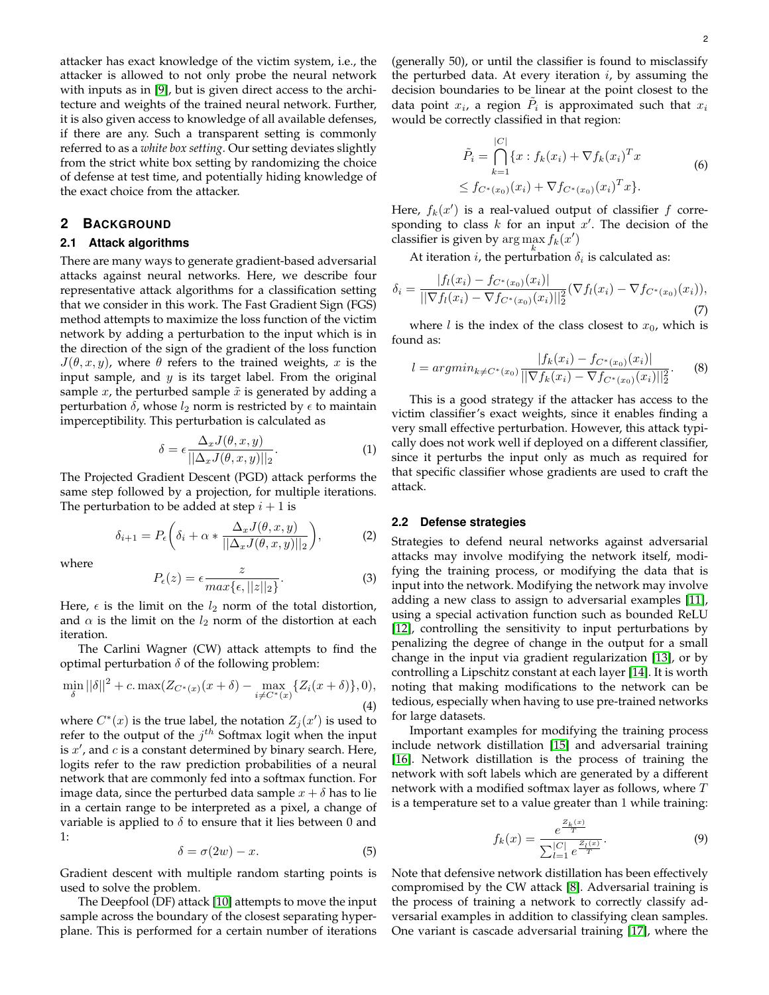attacker has exact knowledge of the victim system, i.e., the attacker is allowed to not only probe the neural network with inputs as in [\[9\]](#page-11-2), but is given direct access to the architecture and weights of the trained neural network. Further, it is also given access to knowledge of all available defenses, if there are any. Such a transparent setting is commonly referred to as a *white box setting*. Our setting deviates slightly from the strict white box setting by randomizing the choice of defense at test time, and potentially hiding knowledge of the exact choice from the attacker.

#### **2 BACKGROUND**

#### **2.1 Attack algorithms**

There are many ways to generate gradient-based adversarial attacks against neural networks. Here, we describe four representative attack algorithms for a classification setting that we consider in this work. The Fast Gradient Sign (FGS) method attempts to maximize the loss function of the victim network by adding a perturbation to the input which is in the direction of the sign of the gradient of the loss function  $J(\theta, x, y)$ , where  $\theta$  refers to the trained weights, x is the input sample, and  $y$  is its target label. From the original sample  $x$ , the perturbed sample  $\tilde{x}$  is generated by adding a perturbation  $\delta$ , whose  $l_2$  norm is restricted by  $\epsilon$  to maintain imperceptibility. This perturbation is calculated as

$$
\delta = \epsilon \frac{\Delta_x J(\theta, x, y)}{||\Delta_x J(\theta, x, y)||_2}.
$$
\n(1)

The Projected Gradient Descent (PGD) attack performs the same step followed by a projection, for multiple iterations. The perturbation to be added at step  $i + 1$  is

$$
\delta_{i+1} = P_{\epsilon} \left( \delta_i + \alpha * \frac{\Delta_x J(\theta, x, y)}{||\Delta_x J(\theta, x, y)||_2} \right), \tag{2}
$$

where

$$
P_{\epsilon}(z) = \epsilon \frac{z}{\max\{\epsilon, ||z||_2\}}.\tag{3}
$$

Here,  $\epsilon$  is the limit on the  $l_2$  norm of the total distortion, and  $\alpha$  is the limit on the  $l_2$  norm of the distortion at each iteration.

The Carlini Wagner (CW) attack attempts to find the optimal perturbation  $\delta$  of the following problem:

$$
\min_{\delta} ||\delta||^2 + c \cdot \max(Z_{C^*(x)}(x+\delta) - \max_{i \neq C^*(x)} \{Z_i(x+\delta)\}, 0),
$$
\n(4)

where  $C^*(x)$  is the true label, the notation  $Z_j(x')$  is used to refer to the output of the  $j^{th}$  Softmax logit when the input is  $x'$ , and  $c$  is a constant determined by binary search. Here, logits refer to the raw prediction probabilities of a neural network that are commonly fed into a softmax function. For image data, since the perturbed data sample  $x + \delta$  has to lie in a certain range to be interpreted as a pixel, a change of variable is applied to  $\delta$  to ensure that it lies between 0 and 1:

$$
\delta = \sigma(2w) - x.\tag{5}
$$

Gradient descent with multiple random starting points is used to solve the problem.

The Deepfool (DF) attack [\[10\]](#page-11-3) attempts to move the input sample across the boundary of the closest separating hyperplane. This is performed for a certain number of iterations (generally 50), or until the classifier is found to misclassify the perturbed data. At every iteration  $i$ , by assuming the decision boundaries to be linear at the point closest to the data point  $x_i$ , a region  $\tilde{P}_i$  is approximated such that  $x_i$ would be correctly classified in that region:

$$
\tilde{P}_i = \bigcap_{k=1}^{|C|} \{x : f_k(x_i) + \nabla f_k(x_i)^T x \} \le f_{C^*(x_0)}(x_i) + \nabla f_{C^*(x_0)}(x_i)^T x \}.
$$
\n(6)

Here,  $f_k(x')$  is a real-valued output of classifier f corresponding to class  $k$  for an input  $x'$ . The decision of the classifier is given by  $\arg\max_{k} f_k(x')$ 

At iteration *i*, the perturbation  $\delta_i$  is calculated as:

$$
\delta_i = \frac{|f_l(x_i) - f_{C^*(x_0)}(x_i)|}{\| \nabla f_l(x_i) - \nabla f_{C^*(x_0)}(x_i) \|^2_2} (\nabla f_l(x_i) - \nabla f_{C^*(x_0)}(x_i)),
$$
\n(7)

where *l* is the index of the class closest to  $x_0$ , which is found as:

$$
l = argmin_{k \neq C^*(x_0)} \frac{|f_k(x_i) - f_{C^*(x_0)}(x_i)|}{\|\nabla f_k(x_i) - \nabla f_{C^*(x_0)}(x_i)\|_2^2}.
$$
 (8)

This is a good strategy if the attacker has access to the victim classifier's exact weights, since it enables finding a very small effective perturbation. However, this attack typically does not work well if deployed on a different classifier, since it perturbs the input only as much as required for that specific classifier whose gradients are used to craft the attack.

#### **2.2 Defense strategies**

Strategies to defend neural networks against adversarial attacks may involve modifying the network itself, modifying the training process, or modifying the data that is input into the network. Modifying the network may involve adding a new class to assign to adversarial examples [\[11\]](#page-11-4), using a special activation function such as bounded ReLU [\[12\]](#page-11-5), controlling the sensitivity to input perturbations by penalizing the degree of change in the output for a small change in the input via gradient regularization [\[13\]](#page-11-6), or by controlling a Lipschitz constant at each layer [\[14\]](#page-11-7). It is worth noting that making modifications to the network can be tedious, especially when having to use pre-trained networks for large datasets.

Important examples for modifying the training process include network distillation [\[15\]](#page-11-8) and adversarial training [\[16\]](#page-11-9). Network distillation is the process of training the network with soft labels which are generated by a different network with a modified softmax layer as follows, where  $T$ is a temperature set to a value greater than 1 while training:

$$
f_k(x) = \frac{e^{\frac{Z_k(x)}{T}}}{\sum_{l=1}^{|C|} e^{\frac{Z_l(x)}{T}}}.
$$
\n(9)

Note that defensive network distillation has been effectively compromised by the CW attack [\[8\]](#page-11-1). Adversarial training is the process of training a network to correctly classify adversarial examples in addition to classifying clean samples. One variant is cascade adversarial training [\[17\]](#page-11-10), where the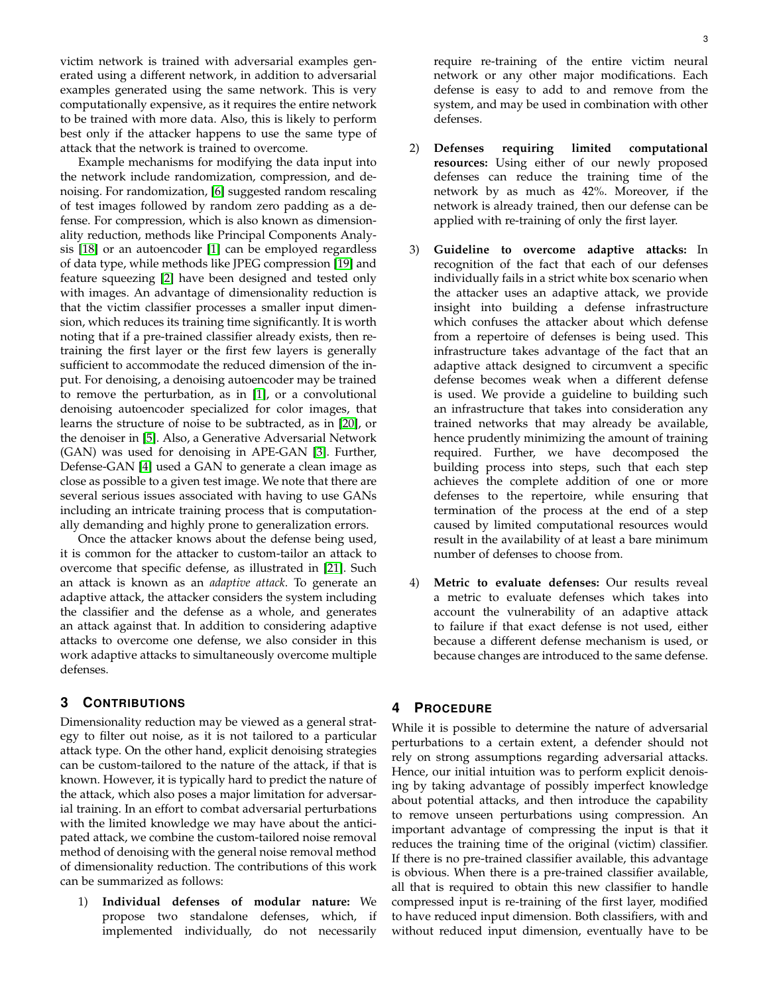victim network is trained with adversarial examples generated using a different network, in addition to adversarial examples generated using the same network. This is very computationally expensive, as it requires the entire network to be trained with more data. Also, this is likely to perform best only if the attacker happens to use the same type of attack that the network is trained to overcome.

Example mechanisms for modifying the data input into the network include randomization, compression, and denoising. For randomization, [\[6\]](#page-10-5) suggested random rescaling of test images followed by random zero padding as a defense. For compression, which is also known as dimensionality reduction, methods like Principal Components Analysis [\[18\]](#page-11-11) or an autoencoder [\[1\]](#page-10-0) can be employed regardless of data type, while methods like JPEG compression [\[19\]](#page-11-12) and feature squeezing [\[2\]](#page-10-1) have been designed and tested only with images. An advantage of dimensionality reduction is that the victim classifier processes a smaller input dimension, which reduces its training time significantly. It is worth noting that if a pre-trained classifier already exists, then retraining the first layer or the first few layers is generally sufficient to accommodate the reduced dimension of the input. For denoising, a denoising autoencoder may be trained to remove the perturbation, as in [\[1\]](#page-10-0), or a convolutional denoising autoencoder specialized for color images, that learns the structure of noise to be subtracted, as in [\[20\]](#page-11-13), or the denoiser in [\[5\]](#page-10-4). Also, a Generative Adversarial Network (GAN) was used for denoising in APE-GAN [\[3\]](#page-10-2). Further, Defense-GAN [\[4\]](#page-10-3) used a GAN to generate a clean image as close as possible to a given test image. We note that there are several serious issues associated with having to use GANs including an intricate training process that is computationally demanding and highly prone to generalization errors.

Once the attacker knows about the defense being used, it is common for the attacker to custom-tailor an attack to overcome that specific defense, as illustrated in [\[21\]](#page-11-14). Such an attack is known as an *adaptive attack*. To generate an adaptive attack, the attacker considers the system including the classifier and the defense as a whole, and generates an attack against that. In addition to considering adaptive attacks to overcome one defense, we also consider in this work adaptive attacks to simultaneously overcome multiple defenses.

# **3 CONTRIBUTIONS**

Dimensionality reduction may be viewed as a general strategy to filter out noise, as it is not tailored to a particular attack type. On the other hand, explicit denoising strategies can be custom-tailored to the nature of the attack, if that is known. However, it is typically hard to predict the nature of the attack, which also poses a major limitation for adversarial training. In an effort to combat adversarial perturbations with the limited knowledge we may have about the anticipated attack, we combine the custom-tailored noise removal method of denoising with the general noise removal method of dimensionality reduction. The contributions of this work can be summarized as follows:

1) **Individual defenses of modular nature:** We propose two standalone defenses, which, if implemented individually, do not necessarily require re-training of the entire victim neural network or any other major modifications. Each defense is easy to add to and remove from the system, and may be used in combination with other defenses.

- 2) **Defenses requiring limited computational resources:** Using either of our newly proposed defenses can reduce the training time of the network by as much as 42%. Moreover, if the network is already trained, then our defense can be applied with re-training of only the first layer.
- 3) **Guideline to overcome adaptive attacks:** In recognition of the fact that each of our defenses individually fails in a strict white box scenario when the attacker uses an adaptive attack, we provide insight into building a defense infrastructure which confuses the attacker about which defense from a repertoire of defenses is being used. This infrastructure takes advantage of the fact that an adaptive attack designed to circumvent a specific defense becomes weak when a different defense is used. We provide a guideline to building such an infrastructure that takes into consideration any trained networks that may already be available, hence prudently minimizing the amount of training required. Further, we have decomposed the building process into steps, such that each step achieves the complete addition of one or more defenses to the repertoire, while ensuring that termination of the process at the end of a step caused by limited computational resources would result in the availability of at least a bare minimum number of defenses to choose from.
- 4) **Metric to evaluate defenses:** Our results reveal a metric to evaluate defenses which takes into account the vulnerability of an adaptive attack to failure if that exact defense is not used, either because a different defense mechanism is used, or because changes are introduced to the same defense.

## **4 PROCEDURE**

While it is possible to determine the nature of adversarial perturbations to a certain extent, a defender should not rely on strong assumptions regarding adversarial attacks. Hence, our initial intuition was to perform explicit denoising by taking advantage of possibly imperfect knowledge about potential attacks, and then introduce the capability to remove unseen perturbations using compression. An important advantage of compressing the input is that it reduces the training time of the original (victim) classifier. If there is no pre-trained classifier available, this advantage is obvious. When there is a pre-trained classifier available, all that is required to obtain this new classifier to handle compressed input is re-training of the first layer, modified to have reduced input dimension. Both classifiers, with and without reduced input dimension, eventually have to be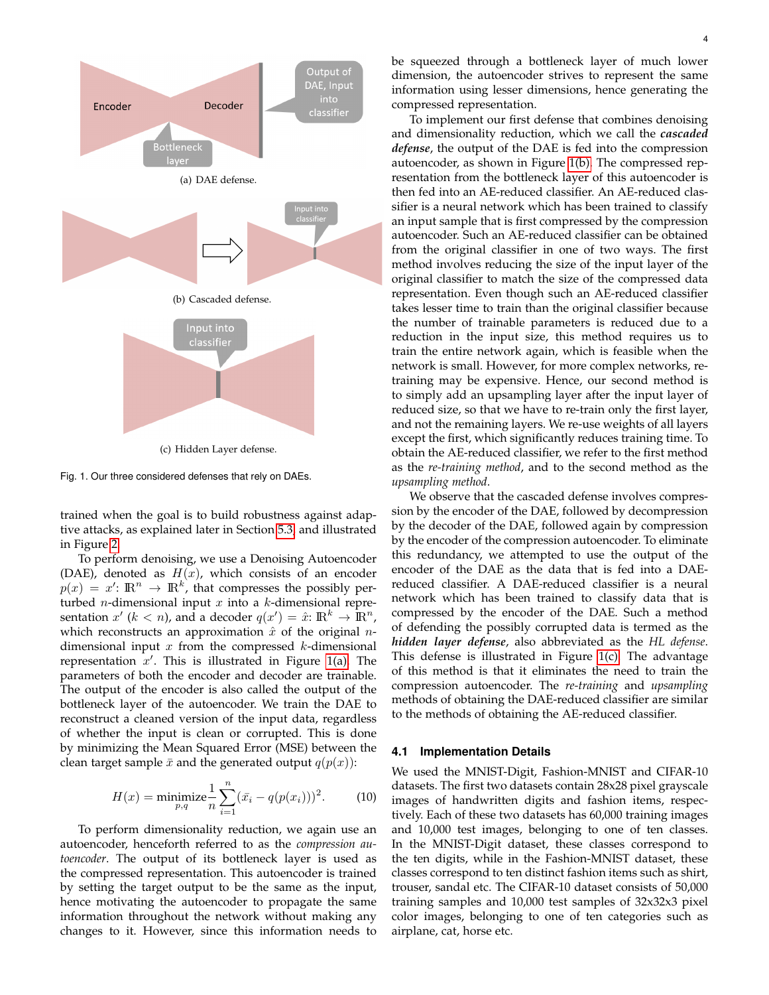<span id="page-3-0"></span>

<span id="page-3-2"></span><span id="page-3-1"></span>Fig. 1. Our three considered defenses that rely on DAEs.

trained when the goal is to build robustness against adaptive attacks, as explained later in Section [5.3,](#page-7-0) and illustrated in Figure [2.](#page-12-0)

To perform denoising, we use a Denoising Autoencoder (DAE), denoted as  $H(x)$ , which consists of an encoder  $p(x) = x'$ :  $\mathbb{R}^n \to \mathbb{R}^k$ , that compresses the possibly perturbed *n*-dimensional input  $x$  into a  $k$ -dimensional representation  $x'$  ( $k < n$ ), and a decoder  $q(x') = \hat{x} : \mathbb{R}^k \to \mathbb{R}^n$ , which reconstructs an approximation  $\hat{x}$  of the original *n*dimensional input  $x$  from the compressed  $k$ -dimensional representation  $x'$ . This is illustrated in Figure [1\(a\).](#page-3-0) The parameters of both the encoder and decoder are trainable. The output of the encoder is also called the output of the bottleneck layer of the autoencoder. We train the DAE to reconstruct a cleaned version of the input data, regardless of whether the input is clean or corrupted. This is done by minimizing the Mean Squared Error (MSE) between the clean target sample  $\bar{x}$  and the generated output  $q(p(x))$ :

$$
H(x) = \underset{p,q}{\text{minimize}} \frac{1}{n} \sum_{i=1}^{n} (\bar{x}_i - q(p(x_i)))^2.
$$
 (10)

To perform dimensionality reduction, we again use an autoencoder, henceforth referred to as the *compression autoencoder*. The output of its bottleneck layer is used as the compressed representation. This autoencoder is trained by setting the target output to be the same as the input, hence motivating the autoencoder to propagate the same information throughout the network without making any changes to it. However, since this information needs to be squeezed through a bottleneck layer of much lower dimension, the autoencoder strives to represent the same information using lesser dimensions, hence generating the compressed representation.

To implement our first defense that combines denoising and dimensionality reduction, which we call the *cascaded defense*, the output of the DAE is fed into the compression autoencoder, as shown in Figure [1\(b\).](#page-3-1) The compressed representation from the bottleneck layer of this autoencoder is then fed into an AE-reduced classifier. An AE-reduced classifier is a neural network which has been trained to classify an input sample that is first compressed by the compression autoencoder. Such an AE-reduced classifier can be obtained from the original classifier in one of two ways. The first method involves reducing the size of the input layer of the original classifier to match the size of the compressed data representation. Even though such an AE-reduced classifier takes lesser time to train than the original classifier because the number of trainable parameters is reduced due to a reduction in the input size, this method requires us to train the entire network again, which is feasible when the network is small. However, for more complex networks, retraining may be expensive. Hence, our second method is to simply add an upsampling layer after the input layer of reduced size, so that we have to re-train only the first layer, and not the remaining layers. We re-use weights of all layers except the first, which significantly reduces training time. To obtain the AE-reduced classifier, we refer to the first method as the *re-training method*, and to the second method as the *upsampling method*.

We observe that the cascaded defense involves compression by the encoder of the DAE, followed by decompression by the decoder of the DAE, followed again by compression by the encoder of the compression autoencoder. To eliminate this redundancy, we attempted to use the output of the encoder of the DAE as the data that is fed into a DAEreduced classifier. A DAE-reduced classifier is a neural network which has been trained to classify data that is compressed by the encoder of the DAE. Such a method of defending the possibly corrupted data is termed as the *hidden layer defense*, also abbreviated as the *HL defense*. This defense is illustrated in Figure [1\(c\).](#page-3-2) The advantage of this method is that it eliminates the need to train the compression autoencoder. The *re-training* and *upsampling* methods of obtaining the DAE-reduced classifier are similar to the methods of obtaining the AE-reduced classifier.

#### <span id="page-3-3"></span>**4.1 Implementation Details**

We used the MNIST-Digit, Fashion-MNIST and CIFAR-10 datasets. The first two datasets contain 28x28 pixel grayscale images of handwritten digits and fashion items, respectively. Each of these two datasets has 60,000 training images and 10,000 test images, belonging to one of ten classes. In the MNIST-Digit dataset, these classes correspond to the ten digits, while in the Fashion-MNIST dataset, these classes correspond to ten distinct fashion items such as shirt, trouser, sandal etc. The CIFAR-10 dataset consists of 50,000 training samples and 10,000 test samples of 32x32x3 pixel color images, belonging to one of ten categories such as airplane, cat, horse etc.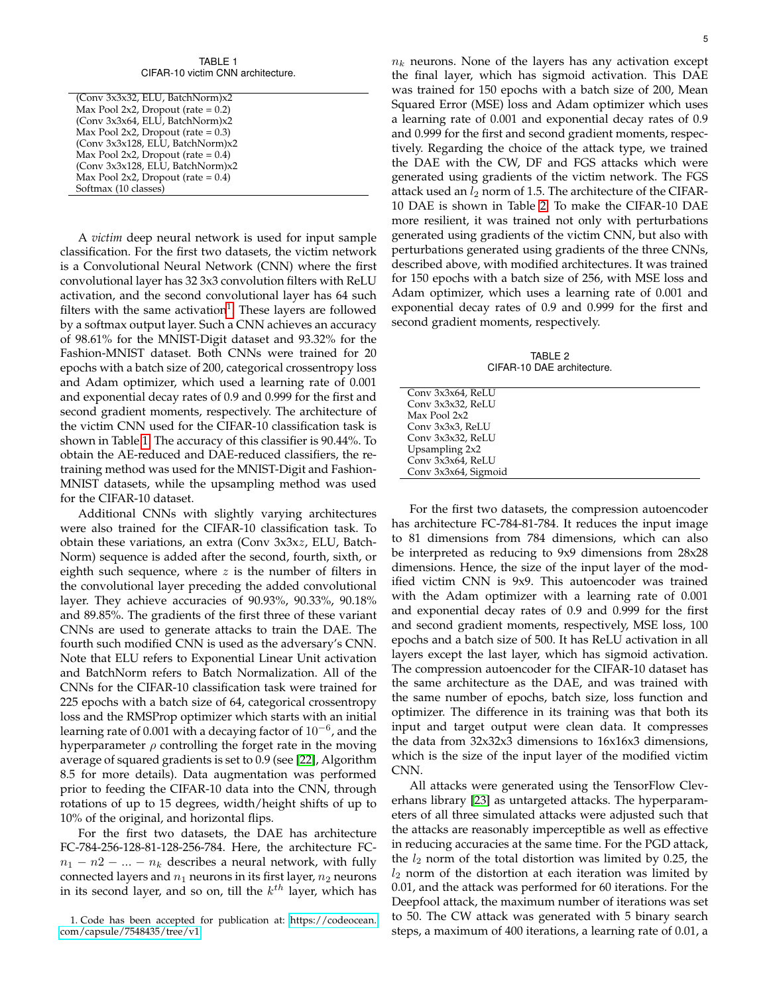TABLE 1 CIFAR-10 victim CNN architecture.

<span id="page-4-1"></span>

| (Conv 3x3x32, ELU, BatchNorm)x2       |
|---------------------------------------|
| Max Pool 2x2, Dropout (rate $= 0.2$ ) |
| (Conv 3x3x64, ELU, BatchNorm)x2       |
| Max Pool 2x2, Dropout (rate $= 0.3$ ) |
| (Conv 3x3x128, ELU, BatchNorm)x2      |
| Max Pool 2x2, Dropout (rate $= 0.4$ ) |
| (Conv 3x3x128, ELU, BatchNorm)x2      |
| Max Pool 2x2, Dropout (rate $= 0.4$ ) |
| Softmax (10 classes)                  |
|                                       |

A *victim* deep neural network is used for input sample classification. For the first two datasets, the victim network is a Convolutional Neural Network (CNN) where the first convolutional layer has 32 3x3 convolution filters with ReLU activation, and the second convolutional layer has 64 such filters with the same activation<sup>[1](#page-4-0)</sup>. These layers are followed by a softmax output layer. Such a CNN achieves an accuracy of 98.61% for the MNIST-Digit dataset and 93.32% for the Fashion-MNIST dataset. Both CNNs were trained for 20 epochs with a batch size of 200, categorical crossentropy loss and Adam optimizer, which used a learning rate of 0.001 and exponential decay rates of 0.9 and 0.999 for the first and second gradient moments, respectively. The architecture of the victim CNN used for the CIFAR-10 classification task is shown in Table [1.](#page-4-1) The accuracy of this classifier is 90.44%. To obtain the AE-reduced and DAE-reduced classifiers, the retraining method was used for the MNIST-Digit and Fashion-MNIST datasets, while the upsampling method was used for the CIFAR-10 dataset.

Additional CNNs with slightly varying architectures were also trained for the CIFAR-10 classification task. To obtain these variations, an extra (Conv 3x3xz, ELU, Batch-Norm) sequence is added after the second, fourth, sixth, or eighth such sequence, where  $z$  is the number of filters in the convolutional layer preceding the added convolutional layer. They achieve accuracies of 90.93%, 90.33%, 90.18% and 89.85%. The gradients of the first three of these variant CNNs are used to generate attacks to train the DAE. The fourth such modified CNN is used as the adversary's CNN. Note that ELU refers to Exponential Linear Unit activation and BatchNorm refers to Batch Normalization. All of the CNNs for the CIFAR-10 classification task were trained for 225 epochs with a batch size of 64, categorical crossentropy loss and the RMSProp optimizer which starts with an initial learning rate of 0.001 with a decaying factor of  $10^{-6}$ , and the hyperparameter  $\rho$  controlling the forget rate in the moving average of squared gradients is set to 0.9 (see [\[22\]](#page-11-15), Algorithm 8.5 for more details). Data augmentation was performed prior to feeding the CIFAR-10 data into the CNN, through rotations of up to 15 degrees, width/height shifts of up to 10% of the original, and horizontal flips.

For the first two datasets, the DAE has architecture FC-784-256-128-81-128-256-784. Here, the architecture FC $n_1 - n_2 - ... - n_k$  describes a neural network, with fully connected layers and  $n_1$  neurons in its first layer,  $n_2$  neurons in its second layer, and so on, till the  $k^{th}$  layer, which has  $n_k$  neurons. None of the layers has any activation except the final layer, which has sigmoid activation. This DAE was trained for 150 epochs with a batch size of 200, Mean Squared Error (MSE) loss and Adam optimizer which uses a learning rate of 0.001 and exponential decay rates of 0.9 and 0.999 for the first and second gradient moments, respectively. Regarding the choice of the attack type, we trained the DAE with the CW, DF and FGS attacks which were generated using gradients of the victim network. The FGS attack used an  $l_2$  norm of 1.5. The architecture of the CIFAR-10 DAE is shown in Table [2.](#page-4-2) To make the CIFAR-10 DAE more resilient, it was trained not only with perturbations generated using gradients of the victim CNN, but also with perturbations generated using gradients of the three CNNs, described above, with modified architectures. It was trained for 150 epochs with a batch size of 256, with MSE loss and Adam optimizer, which uses a learning rate of 0.001 and exponential decay rates of 0.9 and 0.999 for the first and second gradient moments, respectively.

TABLE 2 CIFAR-10 DAE architecture.

<span id="page-4-2"></span>

| Conv 3x3x64, ReLU    |  |
|----------------------|--|
| Conv 3x3x32, ReLU    |  |
| Max Pool 2x2         |  |
| Conv 3x3x3, ReLU     |  |
| Conv 3x3x32, ReLU    |  |
| Upsampling 2x2       |  |
| Conv 3x3x64, ReLU    |  |
| Conv 3x3x64, Sigmoid |  |
|                      |  |

For the first two datasets, the compression autoencoder has architecture FC-784-81-784. It reduces the input image to 81 dimensions from 784 dimensions, which can also be interpreted as reducing to 9x9 dimensions from 28x28 dimensions. Hence, the size of the input layer of the modified victim CNN is 9x9. This autoencoder was trained with the Adam optimizer with a learning rate of 0.001 and exponential decay rates of 0.9 and 0.999 for the first and second gradient moments, respectively, MSE loss, 100 epochs and a batch size of 500. It has ReLU activation in all layers except the last layer, which has sigmoid activation. The compression autoencoder for the CIFAR-10 dataset has the same architecture as the DAE, and was trained with the same number of epochs, batch size, loss function and optimizer. The difference in its training was that both its input and target output were clean data. It compresses the data from 32x32x3 dimensions to 16x16x3 dimensions, which is the size of the input layer of the modified victim CNN.

All attacks were generated using the TensorFlow Cleverhans library [\[23\]](#page-11-16) as untargeted attacks. The hyperparameters of all three simulated attacks were adjusted such that the attacks are reasonably imperceptible as well as effective in reducing accuracies at the same time. For the PGD attack, the  $l_2$  norm of the total distortion was limited by 0.25, the  $l_2$  norm of the distortion at each iteration was limited by 0.01, and the attack was performed for 60 iterations. For the Deepfool attack, the maximum number of iterations was set to 50. The CW attack was generated with 5 binary search steps, a maximum of 400 iterations, a learning rate of 0.01, a

<span id="page-4-0"></span><sup>1.</sup> Code has been accepted for publication at: [https://codeocean.](https://codeocean.com/capsule/7548435/tree/v1) [com/capsule/7548435/tree/v1](https://codeocean.com/capsule/7548435/tree/v1)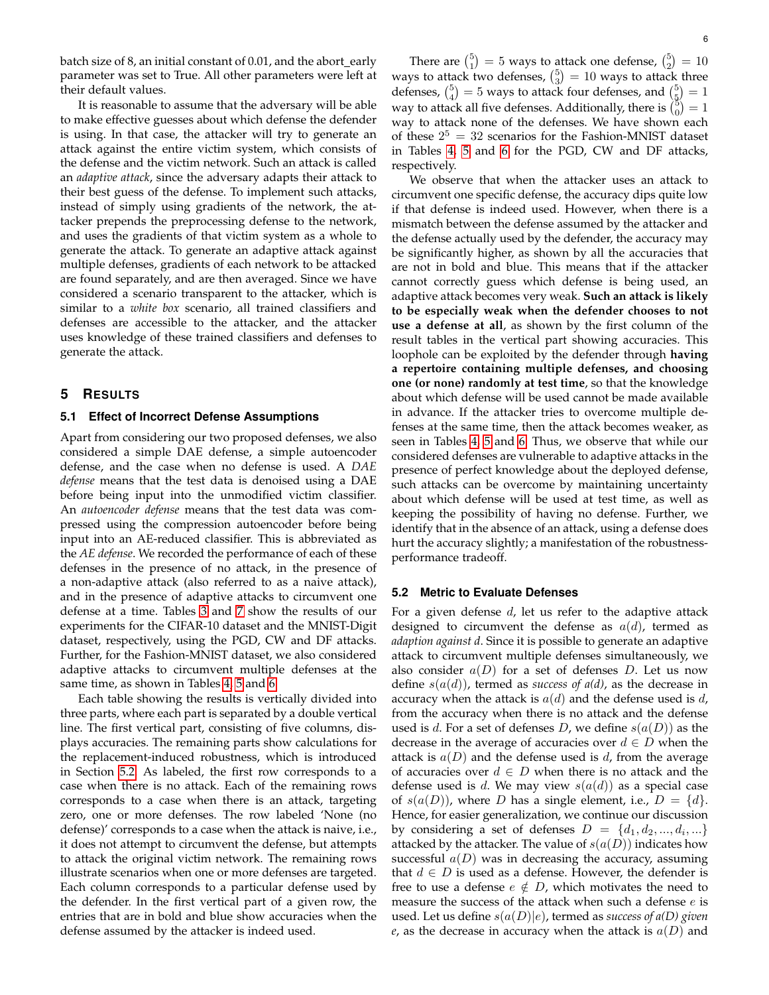batch size of  $8$ , an initial constant of  $0.01$ , and the abort\_early parameter was set to True. All other parameters were left at their default values.

It is reasonable to assume that the adversary will be able to make effective guesses about which defense the defender is using. In that case, the attacker will try to generate an attack against the entire victim system, which consists of the defense and the victim network. Such an attack is called an *adaptive attack*, since the adversary adapts their attack to their best guess of the defense. To implement such attacks, instead of simply using gradients of the network, the attacker prepends the preprocessing defense to the network, and uses the gradients of that victim system as a whole to generate the attack. To generate an adaptive attack against multiple defenses, gradients of each network to be attacked are found separately, and are then averaged. Since we have considered a scenario transparent to the attacker, which is similar to a *white box* scenario, all trained classifiers and defenses are accessible to the attacker, and the attacker uses knowledge of these trained classifiers and defenses to generate the attack.

### **5 RESULTS**

#### **5.1 Effect of Incorrect Defense Assumptions**

Apart from considering our two proposed defenses, we also considered a simple DAE defense, a simple autoencoder defense, and the case when no defense is used. A *DAE defense* means that the test data is denoised using a DAE before being input into the unmodified victim classifier. An *autoencoder defense* means that the test data was compressed using the compression autoencoder before being input into an AE-reduced classifier. This is abbreviated as the *AE defense*. We recorded the performance of each of these defenses in the presence of no attack, in the presence of a non-adaptive attack (also referred to as a naive attack), and in the presence of adaptive attacks to circumvent one defense at a time. Tables [3](#page-6-0) and [7](#page-10-6) show the results of our experiments for the CIFAR-10 dataset and the MNIST-Digit dataset, respectively, using the PGD, CW and DF attacks. Further, for the Fashion-MNIST dataset, we also considered adaptive attacks to circumvent multiple defenses at the same time, as shown in Tables [4,](#page-7-1) [5](#page-8-0) and [6.](#page-9-0)

Each table showing the results is vertically divided into three parts, where each part is separated by a double vertical line. The first vertical part, consisting of five columns, displays accuracies. The remaining parts show calculations for the replacement-induced robustness, which is introduced in Section [5.2.](#page-5-0) As labeled, the first row corresponds to a case when there is no attack. Each of the remaining rows corresponds to a case when there is an attack, targeting zero, one or more defenses. The row labeled 'None (no defense)' corresponds to a case when the attack is naive, i.e., it does not attempt to circumvent the defense, but attempts to attack the original victim network. The remaining rows illustrate scenarios when one or more defenses are targeted. Each column corresponds to a particular defense used by the defender. In the first vertical part of a given row, the entries that are in bold and blue show accuracies when the defense assumed by the attacker is indeed used.

There are  $\binom{5}{1} = 5$  ways to attack one defense,  $\binom{5}{2} = 10$ ways to attack two defenses,  $\binom{5}{3} = 10$  ways to attack three defenses,  $\binom{5}{4} = 5$  ways to attack four defenses, and  $\binom{5}{5} = 1$ way to attack all five defenses. Additionally, there is  $\binom{5}{0} = 1$ way to attack none of the defenses. We have shown each of these  $2^5 = 32$  scenarios for the Fashion-MNIST dataset in Tables [4,](#page-7-1) [5](#page-8-0) and [6](#page-9-0) for the PGD, CW and DF attacks, respectively.

We observe that when the attacker uses an attack to circumvent one specific defense, the accuracy dips quite low if that defense is indeed used. However, when there is a mismatch between the defense assumed by the attacker and the defense actually used by the defender, the accuracy may be significantly higher, as shown by all the accuracies that are not in bold and blue. This means that if the attacker cannot correctly guess which defense is being used, an adaptive attack becomes very weak. **Such an attack is likely to be especially weak when the defender chooses to not use a defense at all**, as shown by the first column of the result tables in the vertical part showing accuracies. This loophole can be exploited by the defender through **having a repertoire containing multiple defenses, and choosing one (or none) randomly at test time**, so that the knowledge about which defense will be used cannot be made available in advance. If the attacker tries to overcome multiple defenses at the same time, then the attack becomes weaker, as seen in Tables [4,](#page-7-1) [5](#page-8-0) and [6.](#page-9-0) Thus, we observe that while our considered defenses are vulnerable to adaptive attacks in the presence of perfect knowledge about the deployed defense, such attacks can be overcome by maintaining uncertainty about which defense will be used at test time, as well as keeping the possibility of having no defense. Further, we identify that in the absence of an attack, using a defense does hurt the accuracy slightly; a manifestation of the robustnessperformance tradeoff.

#### <span id="page-5-0"></span>**5.2 Metric to Evaluate Defenses**

For a given defense  $d$ , let us refer to the adaptive attack designed to circumvent the defense as  $a(d)$ , termed as *adaption against d*. Since it is possible to generate an adaptive attack to circumvent multiple defenses simultaneously, we also consider  $a(D)$  for a set of defenses D. Let us now define s(a(d)), termed as *success of a(d)*, as the decrease in accuracy when the attack is  $a(d)$  and the defense used is d, from the accuracy when there is no attack and the defense used is d. For a set of defenses D, we define  $s(a(D))$  as the decrease in the average of accuracies over  $d \in D$  when the attack is  $a(D)$  and the defense used is d, from the average of accuracies over  $d \in D$  when there is no attack and the defense used is d. We may view  $s(a(d))$  as a special case of  $s(a(D))$ , where D has a single element, i.e.,  $D = \{d\}$ . Hence, for easier generalization, we continue our discussion by considering a set of defenses  $D = \{d_1, d_2, ..., d_i, ...\}$ attacked by the attacker. The value of  $s(a(D))$  indicates how successful  $a(D)$  was in decreasing the accuracy, assuming that  $d \in D$  is used as a defense. However, the defender is free to use a defense  $e \notin D$ , which motivates the need to measure the success of the attack when such a defense  $e$  is used. Let us define s(a(D)|e), termed as *success of a(D) given e*, as the decrease in accuracy when the attack is  $a(D)$  and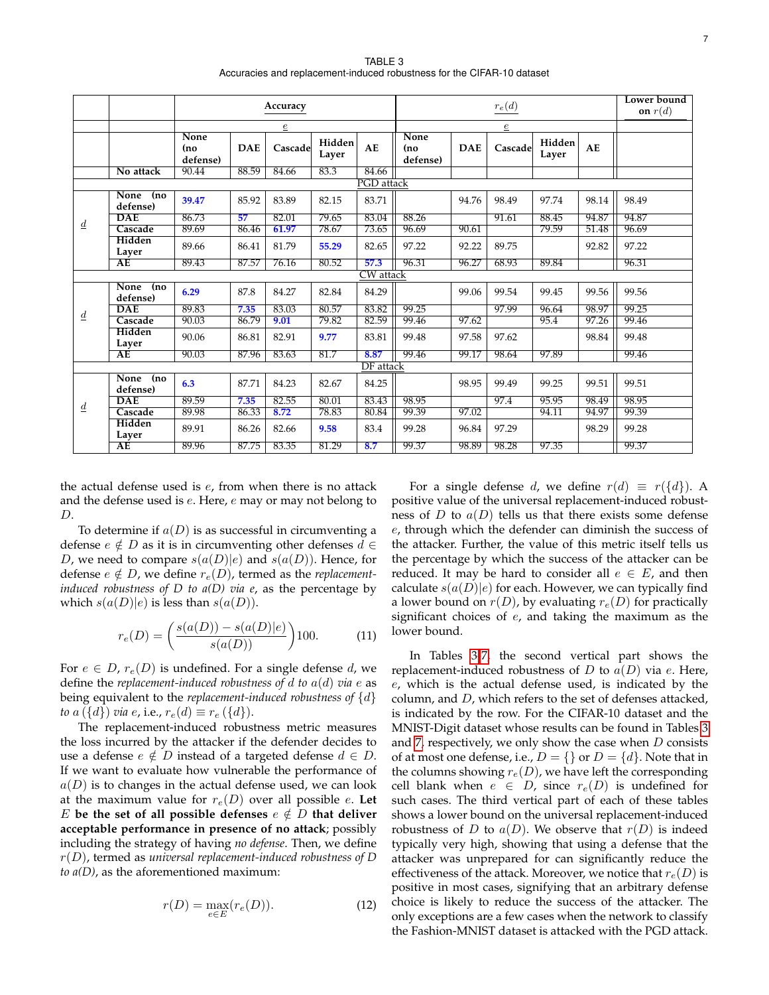TABLE 3 Accuracies and replacement-induced robustness for the CIFAR-10 dataset

<span id="page-6-0"></span>

|                 |                          |                                |            | Accuracy       |                 |                  | $r_e(d)$                |            |         |                 | Lower bound<br>on $r(d)$ |       |  |  |
|-----------------|--------------------------|--------------------------------|------------|----------------|-----------------|------------------|-------------------------|------------|---------|-----------------|--------------------------|-------|--|--|
|                 |                          |                                |            | $\overline{e}$ |                 |                  | $\underline{e}$         |            |         |                 |                          |       |  |  |
|                 |                          | <b>None</b><br>(no<br>defense) | <b>DAE</b> | Cascade        | Hidden<br>Layer | AE               | None<br>(no<br>defense) | <b>DAE</b> | Cascade | Hidden<br>Layer | AE                       |       |  |  |
|                 | No attack                | 90.44                          | 88.59      | 84.66          | 83.3            | 84.66            |                         |            |         |                 |                          |       |  |  |
|                 | PGD attack               |                                |            |                |                 |                  |                         |            |         |                 |                          |       |  |  |
|                 | None<br>(no<br>defense)  | 39.47                          | 85.92      | 83.89          | 82.15           | 83.71            |                         | 94.76      | 98.49   | 97.74           | 98.14                    | 98.49 |  |  |
| $\underline{d}$ | DAE                      | 86.73                          | 57         | 82.01          | 79.65           | 83.04            | 88.26                   |            | 91.61   | 88.45           | 94.87                    | 94.87 |  |  |
|                 | Cascade                  | 89.69                          | 86.46      | 61.97          | 78.67           | 73.65            | 96.69                   | 90.61      |         | 79.59           | 51.48                    | 96.69 |  |  |
|                 | Hidden<br>Layer          | 89.66                          | 86.41      | 81.79          | 55.29           | 82.65            | 97.22                   | 92.22      | 89.75   |                 | 92.82                    | 97.22 |  |  |
|                 | AE                       | 89.43                          | 87.57      | 76.16          | 80.52           | 57.3             | 96.31                   | 96.27      | 68.93   | 89.84           |                          | 96.31 |  |  |
|                 |                          |                                |            |                |                 | <b>CW</b> attack |                         |            |         |                 |                          |       |  |  |
|                 | None<br>(no<br>defense)  | 6.29                           | 87.8       | 84.27          | 82.84           | 84.29            |                         | 99.06      | 99.54   | 99.45           | 99.56                    | 99.56 |  |  |
| $\underline{d}$ | <b>DAE</b>               | 89.83                          | 7.35       | 83.03          | 80.57           | 83.82            | 99.25                   |            | 97.99   | 96.64           | 98.97                    | 99.25 |  |  |
|                 | Cascade                  | 90.03                          | 86.79      | 9.01           | 79.82           | 82.59            | 99.46                   | 97.62      |         | 95.4            | 97.26                    | 99.46 |  |  |
|                 | Hidden<br>Layer          | 90.06                          | 86.81      | 82.91          | 9.77            | 83.81            | 99.48                   | 97.58      | 97.62   |                 | 98.84                    | 99.48 |  |  |
|                 | AE                       | 90.03                          | 87.96      | 83.63          | 81.7            | 8.87             | 99.46                   | 99.17      | 98.64   | 97.89           |                          | 99.46 |  |  |
|                 |                          |                                |            |                |                 | <b>DF</b> attack |                         |            |         |                 |                          |       |  |  |
|                 | None<br>(no)<br>defense) | 6.3                            | 87.71      | 84.23          | 82.67           | 84.25            |                         | 98.95      | 99.49   | 99.25           | 99.51                    | 99.51 |  |  |
|                 | <b>DAE</b>               | 89.59                          | 7.35       | 82.55          | 80.01           | 83.43            | 98.95                   |            | 97.4    | 95.95           | 98.49                    | 98.95 |  |  |
| $\underline{d}$ | Cascade                  | 89.98                          | 86.33      | 8.72           | 78.83           | 80.84            | 99.39                   | 97.02      |         | 94.11           | 94.97                    | 99.39 |  |  |
|                 | Hidden<br>Layer          | 89.91                          | 86.26      | 82.66          | 9.58            | 83.4             | 99.28                   | 96.84      | 97.29   |                 | 98.29                    | 99.28 |  |  |
|                 | AE                       | 89.96                          | 87.75      | 83.35          | 81.29           | 8.7              | 99.37                   | 98.89      | 98.28   | 97.35           |                          | 99.37 |  |  |

the actual defense used is  $e$ , from when there is no attack and the defense used is e. Here, e may or may not belong to D.

To determine if  $a(D)$  is as successful in circumventing a defense  $e \notin D$  as it is in circumventing other defenses  $d \in$ D, we need to compare  $s(a(D)|e)$  and  $s(a(D))$ . Hence, for defense  $e \notin D$ , we define  $r_e(D)$ , termed as the *replacementinduced robustness of D to a(D) via e*, as the percentage by which  $s(a(D)|e)$  is less than  $s(a(D))$ .

$$
r_e(D) = \left(\frac{s(a(D)) - s(a(D)|e)}{s(a(D))}\right)100.
$$
 (11)

For  $e \in D$ ,  $r_e(D)$  is undefined. For a single defense d, we define the *replacement-induced robustness of*  $d$  *to*  $a(d)$  *via*  $e$  as being equivalent to the *replacement-induced robustness of* {d} *to*  $a(\lbrace d \rbrace)$  *via e*, i.e.,  $r_e(d) \equiv r_e(\lbrace d \rbrace)$ .

The replacement-induced robustness metric measures the loss incurred by the attacker if the defender decides to use a defense  $e \notin D$  instead of a targeted defense  $d \in D$ . If we want to evaluate how vulnerable the performance of  $a(D)$  is to changes in the actual defense used, we can look at the maximum value for  $r_e(D)$  over all possible  $e$ . Let E be the set of all possible defenses  $e \notin D$  that deliver **acceptable performance in presence of no attack**; possibly including the strategy of having *no defense*. Then, we define r(D), termed as *universal replacement-induced robustness of D to a(D)*, as the aforementioned maximum:

$$
r(D) = \max_{e \in E} (r_e(D)).
$$
 (12)

For a single defense d, we define  $r(d) \equiv r({d})$ . A positive value of the universal replacement-induced robustness of D to  $a(D)$  tells us that there exists some defense e, through which the defender can diminish the success of the attacker. Further, the value of this metric itself tells us the percentage by which the success of the attacker can be reduced. It may be hard to consider all  $e \in E$ , and then calculate  $s(a(D)|e)$  for each. However, we can typically find a lower bound on  $r(D)$ , by evaluating  $r_e(D)$  for practically significant choices of  $e$ , and taking the maximum as the lower bound.

In Tables [3](#page-6-0)[-7,](#page-10-6) the second vertical part shows the replacement-induced robustness of  $D$  to  $a(D)$  via  $e$ . Here,  $e$ , which is the actual defense used, is indicated by the column, and D, which refers to the set of defenses attacked, is indicated by the row. For the CIFAR-10 dataset and the MNIST-Digit dataset whose results can be found in Tables [3](#page-6-0) and [7,](#page-10-6) respectively, we only show the case when  $D$  consists of at most one defense, i.e.,  $D = \{\}$  or  $D = \{d\}$ . Note that in the columns showing  $r_e(D)$ , we have left the corresponding cell blank when  $e \in D$ , since  $r_e(D)$  is undefined for such cases. The third vertical part of each of these tables shows a lower bound on the universal replacement-induced robustness of D to  $a(D)$ . We observe that  $r(D)$  is indeed typically very high, showing that using a defense that the attacker was unprepared for can significantly reduce the effectiveness of the attack. Moreover, we notice that  $r_e(D)$  is positive in most cases, signifying that an arbitrary defense choice is likely to reduce the success of the attacker. The only exceptions are a few cases when the network to classify the Fashion-MNIST dataset is attacked with the PGD attack.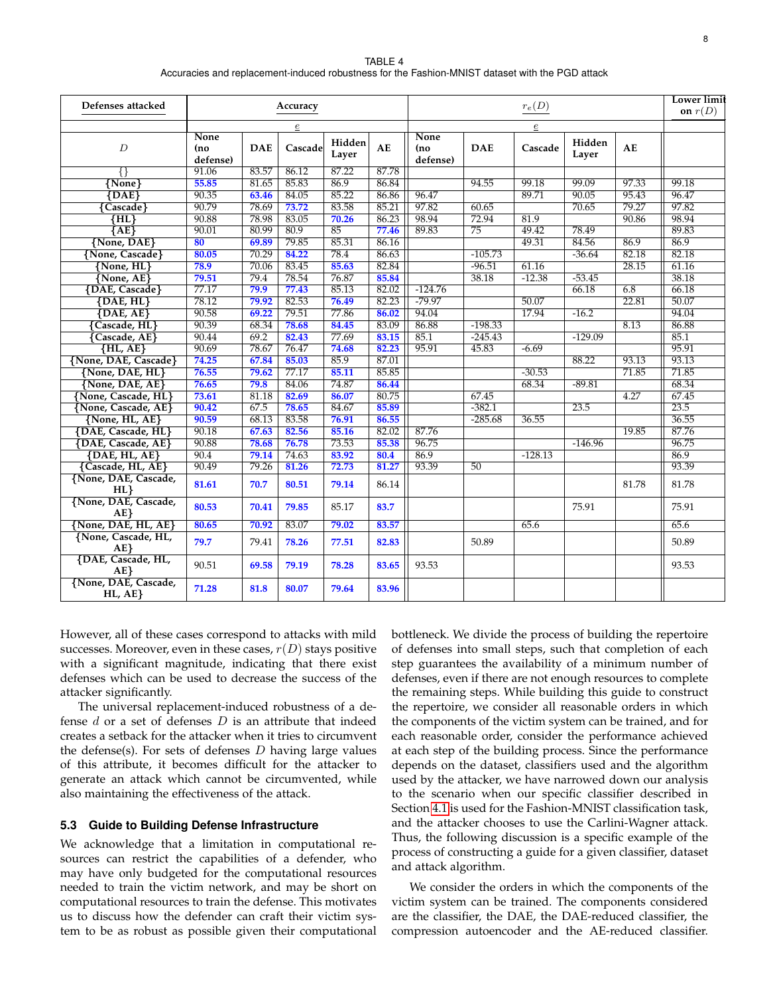TABLE 4 Accuracies and replacement-induced robustness for the Fashion-MNIST dataset with the PGD attack

<span id="page-7-1"></span>

| Defenses attacked              |                                |                | Accuracy |                 |       | $r_e(D)$                       |            |           |                 |       | <b>Lower limit</b><br>on $r(D)$ |
|--------------------------------|--------------------------------|----------------|----------|-----------------|-------|--------------------------------|------------|-----------|-----------------|-------|---------------------------------|
|                                |                                | $\overline{e}$ |          |                 |       |                                |            |           |                 |       |                                 |
| $\boldsymbol{D}$               | <b>None</b><br>(no<br>defense) | <b>DAE</b>     | Cascade  | Hidden<br>Layer | AE    | <b>None</b><br>(no<br>defense) | <b>DAE</b> | Cascade   | Hidden<br>Layer | AE    |                                 |
| ₩                              | 91.06                          | 83.57          | 86.12    | 87.22           | 87.78 |                                |            |           |                 |       |                                 |
| ${None}$                       | 55.85                          | 81.65          | 85.83    | 86.9            | 86.84 |                                | 94.55      | 99.18     | 99.09           | 97.33 | 99.18                           |
| ${DAE}$                        | 90.35                          | 63.46          | 84.05    | 85.22           | 86.86 | 96.47                          |            | 89.71     | 90.05           | 95.43 | 96.47                           |
| $\overline{\text{Cascade}}$    | 90.79                          | 78.69          | 73.72    | 83.58           | 85.21 | 97.82                          | 60.65      |           | 70.65           | 79.27 | 97.82                           |
| $\overline{\rm \{HL\}}$        | 90.88                          | 78.98          | 83.05    | 70.26           | 86.23 | 98.94                          | 72.94      | 81.9      |                 | 90.86 | 98.94                           |
| ${AE}$                         | 90.01                          | 80.99          | 80.9     | 85              | 77.46 | 89.83                          | 75         | 49.42     | 78.49           |       | 89.83                           |
| {None, DAE}                    | 80                             | 69.89          | 79.85    | 85.31           | 86.16 |                                |            | 49.31     | 84.56           | 86.9  | 86.9                            |
| {None, Cascade}                | 80.05                          | 70.29          | 84.22    | 78.4            | 86.63 |                                | $-105.73$  |           | $-36.64$        | 82.18 | 82.18                           |
| $\overline{\text{None, HL}}$   | 78.9                           | 70.06          | 83.45    | 85.63           | 82.84 |                                | $-96.51$   | 61.16     |                 | 28.15 | 61.16                           |
| $\{None, AE\}$                 | 79.51                          | 79.4           | 78.54    | 76.87           | 85.84 |                                | 38.18      | $-12.38$  | $-53.45$        |       | 38.18                           |
| {DAE, Cascade}                 | 77.17                          | 79.9           | 77.43    | 85.13           | 82.02 | $-124.76$                      |            |           | 66.18           | 6.8   | 66.18                           |
| $\{DAE, HL\}$                  | 78.12                          | 79.92          | 82.53    | 76.49           | 82.23 | $-79.97$                       |            | 50.07     |                 | 22.81 | 50.07                           |
| $\{DAE, AE\}$                  | 90.58                          | 69.22          | 79.51    | 77.86           | 86.02 | 94.04                          |            | 17.94     | $-16.2$         |       | 94.04                           |
| {Cascade, HL}                  | 90.39                          | 68.34          | 78.68    | 84.45           | 83.09 | 86.88                          | $-198.33$  |           |                 | 8.13  | 86.88                           |
| <b>{Cascade, AE}</b>           | 90.44                          | 69.2           | 82.43    | 77.69           | 83.15 | 85.1                           | $-245.43$  |           | $-129.09$       |       | 85.1                            |
| $\overline{\text{HL, AE}}$     | 90.69                          | 78.67          | 76.47    | 74.68           | 82.23 | 95.91                          | 45.83      | $-6.69$   |                 |       | 95.91                           |
| {None, DAE, Cascade}           | 74.25                          | 67.84          | 85.03    | 85.9            | 87.01 |                                |            |           | 88.22           | 93.13 | 93.13                           |
| {None, DAE, HL}                | 76.55                          | 79.62          | 77.17    | 85.11           | 85.85 |                                |            | $-30.53$  |                 | 71.85 | 71.85                           |
| $\overline{\{None,DAE,AE\}}$   | 76.65                          | 79.8           | 84.06    | 74.87           | 86.44 |                                |            | 68.34     | $-89.81$        |       | 68.34                           |
| {None, Cascade, HL}            | 73.61                          | 81.18          | 82.69    | 86.07           | 80.75 |                                | 67.45      |           |                 | 4.27  | 67.45                           |
| {None, Cascade, AE}            | 90.42                          | 67.5           | 78.65    | 84.67           | 85.89 |                                | $-382.1$   |           | 23.5            |       | 23.5                            |
| {None, HL, AE}                 | 90.59                          | 68.13          | 83.58    | 76.91           | 86.55 |                                | $-285.68$  | 36.55     |                 |       | 36.55                           |
| <b>{DAE, Cascade, HL}</b>      | 90.18                          | 67.63          | 82.56    | 85.16           | 82.02 | 87.76                          |            |           |                 | 19.85 | 87.76                           |
| {DAE, Cascade, AE}             | 90.88                          | 78.68          | 76.78    | 73.53           | 85.38 | 96.75                          |            |           | $-146.96$       |       | 96.75                           |
| $\overline{\{DAE, HL, AE\}}$   | 90.4                           | 79.14          | 74.63    | 83.92           | 80.4  | 86.9                           |            | $-128.13$ |                 |       | 86.9                            |
| {Cascade, HL, AE}              | 90.49                          | 79.26          | 81.26    | 72.73           | 81.27 | 93.39                          | 50         |           |                 |       | 93.39                           |
| {None, DAE, Cascade,<br>HL     | 81.61                          | 70.7           | 80.51    | 79.14           | 86.14 |                                |            |           |                 | 81.78 | 81.78                           |
| {None, DAE, Cascade,<br>AE     | 80.53                          | 70.41          | 79.85    | 85.17           | 83.7  |                                |            |           | 75.91           |       | 75.91                           |
| {None, DAE, HL, AE}            | 80.65                          | 70.92          | 83.07    | 79.02           | 83.57 |                                |            | 65.6      |                 |       | 65.6                            |
| {None, Cascade, HL,<br>AE      | 79.7                           | 79.41          | 78.26    | 77.51           | 82.83 |                                | 50.89      |           |                 |       | 50.89                           |
| {DAE, Cascade, HL,<br>AE       | 90.51                          | 69.58          | 79.19    | 78.28           | 83.65 | 93.53                          |            |           |                 |       | 93.53                           |
| {None, DAE, Cascade,<br>HL, AE | 71.28                          | 81.8           | 80.07    | 79.64           | 83.96 |                                |            |           |                 |       |                                 |

However, all of these cases correspond to attacks with mild successes. Moreover, even in these cases,  $r(D)$  stays positive with a significant magnitude, indicating that there exist defenses which can be used to decrease the success of the attacker significantly.

The universal replacement-induced robustness of a defense  $d$  or a set of defenses  $D$  is an attribute that indeed creates a setback for the attacker when it tries to circumvent the defense(s). For sets of defenses  $D$  having large values of this attribute, it becomes difficult for the attacker to generate an attack which cannot be circumvented, while also maintaining the effectiveness of the attack.

#### <span id="page-7-0"></span>**5.3 Guide to Building Defense Infrastructure**

We acknowledge that a limitation in computational resources can restrict the capabilities of a defender, who may have only budgeted for the computational resources needed to train the victim network, and may be short on computational resources to train the defense. This motivates us to discuss how the defender can craft their victim system to be as robust as possible given their computational

bottleneck. We divide the process of building the repertoire of defenses into small steps, such that completion of each step guarantees the availability of a minimum number of defenses, even if there are not enough resources to complete the remaining steps. While building this guide to construct the repertoire, we consider all reasonable orders in which the components of the victim system can be trained, and for each reasonable order, consider the performance achieved at each step of the building process. Since the performance depends on the dataset, classifiers used and the algorithm used by the attacker, we have narrowed down our analysis to the scenario when our specific classifier described in Section [4.1](#page-3-3) is used for the Fashion-MNIST classification task, and the attacker chooses to use the Carlini-Wagner attack. Thus, the following discussion is a specific example of the process of constructing a guide for a given classifier, dataset and attack algorithm.

We consider the orders in which the components of the victim system can be trained. The components considered are the classifier, the DAE, the DAE-reduced classifier, the compression autoencoder and the AE-reduced classifier.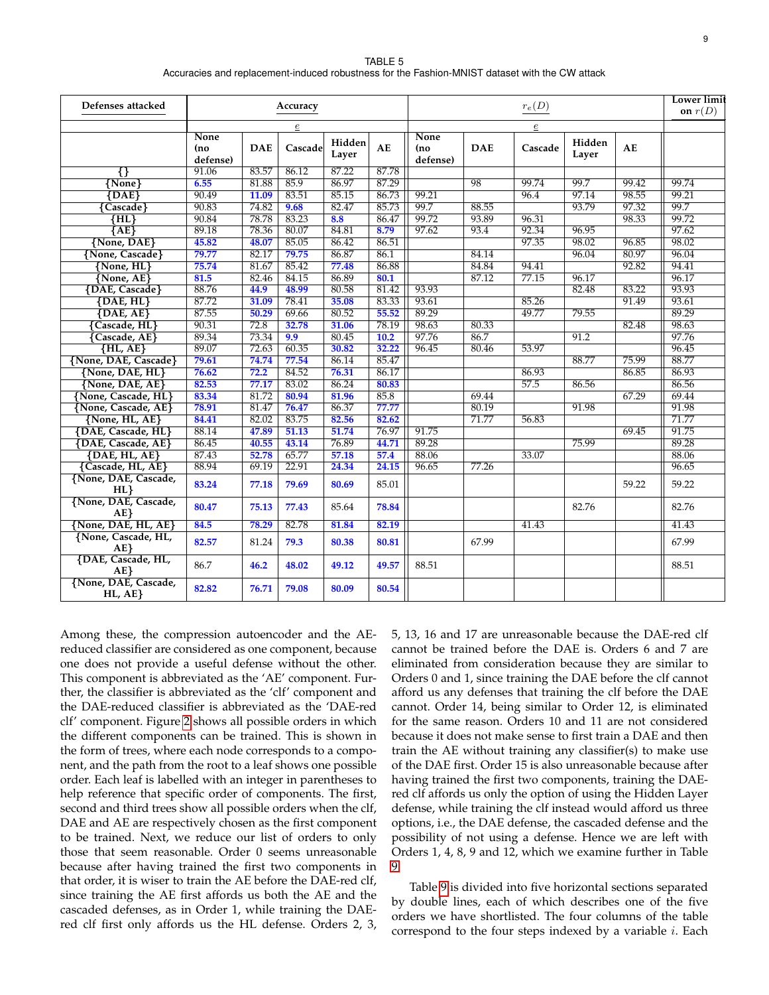| TABLE 5                                                                                        |
|------------------------------------------------------------------------------------------------|
| Accuracies and replacement-induced robustness for the Fashion-MNIST dataset with the CW attack |

<span id="page-8-0"></span>

| Defenses attacked                  |                                 |            | Accuracy                   |                 |       | $r_e(D)$                       |            |                            |                 |       | <b>Lower limit</b><br>on $r(D)$ |
|------------------------------------|---------------------------------|------------|----------------------------|-----------------|-------|--------------------------------|------------|----------------------------|-----------------|-------|---------------------------------|
|                                    | <b>None</b><br>(no)<br>defense) | <b>DAE</b> | $\underline{e}$<br>Cascade | Hidden<br>Layer | AE    | <b>None</b><br>(no<br>defense) | <b>DAE</b> | $\underline{e}$<br>Cascade | Hidden<br>Layer | AE    |                                 |
| ₩                                  | 91.06                           | 83.57      | 86.12                      | 87.22           | 87.78 |                                |            |                            |                 |       |                                 |
| ${None}$                           | 6.55                            | 81.88      | 85.9                       | 86.97           | 87.29 |                                | 98         | 99.74                      | 99.7            | 99.42 | 99.74                           |
| $\overline{\text{DAE}}$            | 90.49                           | 11.09      | 83.51                      | 85.15           | 86.73 | 99.21                          |            | 96.4                       | 97.14           | 98.55 | 99.21                           |
| {Cascade}                          | 90.83                           | 74.82      | 9.68                       | 82.47           | 85.73 | 99.7                           | 88.55      |                            | 93.79           | 97.32 | 99.7                            |
| $\overline{\rm H L}$               | 90.84                           | 78.78      | 83.23                      | 8.8             | 86.47 | 99.72                          | 93.89      | 96.31                      |                 | 98.33 | 99.72                           |
| $\overline{A}E\overline{E}$        | 89.18                           | 78.36      | 80.07                      | 84.81           | 8.79  | 97.62                          | 93.4       | 92.34                      | 96.95           |       | 97.62                           |
| {None, DAE}                        | 45.82                           | 48.07      | 85.05                      | 86.42           | 86.51 |                                |            | 97.35                      | 98.02           | 96.85 | 98.02                           |
| {None, Cascade}                    | 79.77                           | 82.17      | 79.75                      | 86.87           | 86.1  |                                | 84.14      |                            | 96.04           | 80.97 | 96.04                           |
| $\{None, HL\}$                     | 75.74                           | 81.67      | 85.42                      | 77.48           | 86.88 |                                | 84.84      | 94.41                      |                 | 92.82 | 94.41                           |
| $\{None, AE\}$                     | 81.5                            | 82.46      | 84.15                      | 86.89           | 80.1  |                                | 87.12      | 77.15                      | 96.17           |       | 96.17                           |
| <b>{DAE, Cascade}</b>              | 88.76                           | 44.9       | 48.99                      | 80.58           | 81.42 | 93.93                          |            |                            | 82.48           | 83.22 | 93.93                           |
| $\{DAE, HL\}$                      | 87.72                           | 31.09      | 78.41                      | 35.08           | 83.33 | 93.61                          |            | 85.26                      |                 | 91.49 | 93.61                           |
| $\{DAE, AE\}$                      | 87.55                           | 50.29      | 69.66                      | 80.52           | 55.52 | 89.29                          |            | 49.77                      | 79.55           |       | 89.29                           |
| {Cascade, HL}                      | 90.31                           | 72.8       | 32.78                      | 31.06           | 78.19 | 98.63                          | 80.33      |                            |                 | 82.48 | 98.63                           |
| Cascade, AE}                       | 89.34                           | 73.34      | 9.9                        | 80.45           | 10.2  | 97.76                          | 86.7       |                            | 91.2            |       | 97.76                           |
| $\{HL, AE\}$                       | 89.07                           | 72.63      | 60.35                      | 30.82           | 32.22 | 96.45                          | 80.46      | 53.97                      |                 |       | 96.45                           |
| {None, DAE, Cascade}               | 79.61                           | 74.74      | 77.54                      | 86.14           | 85.47 |                                |            |                            | 88.77           | 75.99 | 88.77                           |
| {None, DAE, HL}                    | 76.62                           | 72.2       | 84.52                      | 76.31           | 86.17 |                                |            | 86.93                      |                 | 86.85 | 86.93                           |
| {None, DAE, AE}                    | 82.53                           | 77.17      | 83.02                      | 86.24           | 80.83 |                                |            | 57.5                       | 86.56           |       | 86.56                           |
| {None, Cascade, HL}                | 83.34                           | 81.72      | 80.94                      | 81.96           | 85.8  |                                | 69.44      |                            |                 | 67.29 | 69.44                           |
| <b>{None, Cascade, AE}</b>         | 78.91                           | 81.47      | 76.47                      | 86.37           | 77.77 |                                | 80.19      |                            | 91.98           |       | 91.98                           |
| {None, HL, AE}                     | 84.41                           | 82.02      | 83.75                      | 82.56           | 82.62 |                                | 71.77      | 56.83                      |                 |       | 71.77                           |
| {DAE, Cascade, HL}                 | 88.14                           | 47.89      | 51.13                      | 51.74           | 76.97 | 91.75                          |            |                            |                 | 69.45 | 91.75                           |
| {DAE, Cascade, AE}                 | 86.45                           | 40.55      | 43.14                      | 76.89           | 44.71 | 89.28                          |            |                            | 75.99           |       | 89.28                           |
| $\{DAE, HL, AE\}$                  | 87.43                           | 52.78      | 65.77                      | 57.18           | 57.4  | 88.06                          |            | 33.07                      |                 |       | 88.06                           |
| {Cascade, HL, AE}                  | 88.94                           | 69.19      | 22.91                      | 24.34           | 24.15 | 96.65                          | 77.26      |                            |                 |       | 96.65                           |
| {None, DAE, Cascade,<br>HL         | 83.24                           | 77.18      | 79.69                      | 80.69           | 85.01 |                                |            |                            |                 | 59.22 | 59.22                           |
| {None, DAE, Cascade,<br>AE         | 80.47                           | 75.13      | 77.43                      | 85.64           | 78.84 |                                |            |                            | 82.76           |       | 82.76                           |
| {None, DAE, HL, AE}                | 84.5                            | 78.29      | 82.78                      | 81.84           | 82.19 |                                |            | 41.43                      |                 |       | 41.43                           |
| {None, Cascade, HL,<br>$AE$ }      | 82.57                           | 81.24      | 79.3                       | 80.38           | 80.81 |                                | 67.99      |                            |                 |       | 67.99                           |
| {DAE, Cascade, HL,<br>$AE$ }       | 86.7                            | 46.2       | 48.02                      | 49.12           | 49.57 | 88.51                          |            |                            |                 |       | 88.51                           |
| {None, DAE, Cascade,<br>$HL, AE$ } | 82.82                           | 76.71      | 79.08                      | 80.09           | 80.54 |                                |            |                            |                 |       |                                 |

Among these, the compression autoencoder and the AEreduced classifier are considered as one component, because one does not provide a useful defense without the other. This component is abbreviated as the 'AE' component. Further, the classifier is abbreviated as the 'clf' component and the DAE-reduced classifier is abbreviated as the 'DAE-red clf' component. Figure [2](#page-12-0) shows all possible orders in which the different components can be trained. This is shown in the form of trees, where each node corresponds to a component, and the path from the root to a leaf shows one possible order. Each leaf is labelled with an integer in parentheses to help reference that specific order of components. The first, second and third trees show all possible orders when the clf, DAE and AE are respectively chosen as the first component to be trained. Next, we reduce our list of orders to only those that seem reasonable. Order 0 seems unreasonable because after having trained the first two components in that order, it is wiser to train the AE before the DAE-red clf, since training the AE first affords us both the AE and the cascaded defenses, as in Order 1, while training the DAEred clf first only affords us the HL defense. Orders 2, 3, 5, 13, 16 and 17 are unreasonable because the DAE-red clf cannot be trained before the DAE is. Orders 6 and 7 are eliminated from consideration because they are similar to Orders 0 and 1, since training the DAE before the clf cannot afford us any defenses that training the clf before the DAE cannot. Order 14, being similar to Order 12, is eliminated for the same reason. Orders 10 and 11 are not considered because it does not make sense to first train a DAE and then train the AE without training any classifier(s) to make use of the DAE first. Order 15 is also unreasonable because after having trained the first two components, training the DAEred clf affords us only the option of using the Hidden Layer defense, while training the clf instead would afford us three options, i.e., the DAE defense, the cascaded defense and the possibility of not using a defense. Hence we are left with Orders 1, 4, 8, 9 and 12, which we examine further in Table [9.](#page-11-17)

Table [9](#page-11-17) is divided into five horizontal sections separated by double lines, each of which describes one of the five orders we have shortlisted. The four columns of the table correspond to the four steps indexed by a variable  $i$ . Each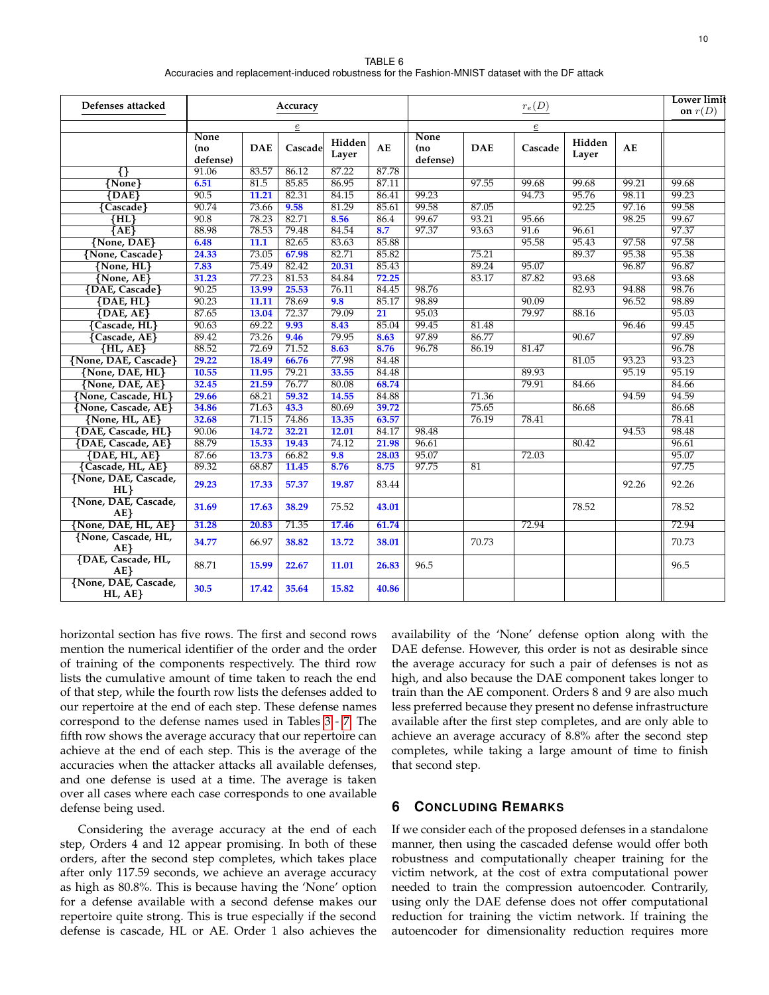| TABLE 6                                                                                        |
|------------------------------------------------------------------------------------------------|
| Accuracies and replacement-induced robustness for the Fashion-MNIST dataset with the DF attack |

<span id="page-9-0"></span>

| Defenses attacked               |                                |            | Accuracy       |                 |                 | $r_e(D)$                       |            |         |                 |       | <b>Lower limit</b><br>on $r(D)$ |
|---------------------------------|--------------------------------|------------|----------------|-----------------|-----------------|--------------------------------|------------|---------|-----------------|-------|---------------------------------|
|                                 |                                |            | $\overline{e}$ |                 |                 |                                |            |         |                 |       |                                 |
|                                 | <b>None</b><br>(no<br>defense) | <b>DAE</b> | Cascade        | Hidden<br>Layer | AE              | <b>None</b><br>(no<br>defense) | <b>DAE</b> | Cascade | Hidden<br>Layer | AE    |                                 |
| स                               | 91.06                          | 83.57      | 86.12          | 87.22           | 87.78           |                                |            |         |                 |       |                                 |
| ${None}$                        | 6.51                           | 81.5       | 85.85          | 86.95           | 87.11           |                                | 97.55      | 99.68   | 99.68           | 99.21 | 99.68                           |
| ${DAE}$                         | 90.5                           | 11.21      | 82.31          | 84.15           | 86.41           | 99.23                          |            | 94.73   | 95.76           | 98.11 | 99.23                           |
| Cascade }                       | 90.74                          | 73.66      | 9.58           | 81.29           | 85.61           | 99.58                          | 87.05      |         | 92.25           | 97.16 | 99.58                           |
| $\overline{\rm \{HL\}}$         | 90.8                           | 78.23      | 82.71          | 8.56            | 86.4            | 99.67                          | 93.21      | 95.66   |                 | 98.25 | 99.67                           |
| ${AE}$                          | 88.98                          | 78.53      | 79.48          | 84.54           | 8.7             | 97.37                          | 93.63      | 91.6    | 96.61           |       | 97.37                           |
| {None, DAE}                     | 6.48                           | 11.1       | 82.65          | 83.63           | 85.88           |                                |            | 95.58   | 95.43           | 97.58 | 97.58                           |
| {None, Cascade}                 | 24.33                          | 73.05      | 67.98          | 82.71           | 85.82           |                                | 75.21      |         | 89.37           | 95.38 | 95.38                           |
| $\{None, HL\}$                  | 7.83                           | 75.49      | 82.42          | 20.31           | 85.43           |                                | 89.24      | 95.07   |                 | 96.87 | 96.87                           |
| $\{None, AE\}$                  | 31.23                          | 77.23      | 81.53          | 84.84           | 72.25           |                                | 83.17      | 87.82   | 93.68           |       | 93.68                           |
| <b>{DAE, Cascade}</b>           | 90.25                          | 13.99      | 25.53          | 76.11           | 84.45           | 98.76                          |            |         | 82.93           | 94.88 | 98.76                           |
| $\{DAE, HL\}$                   | 90.23                          | 11.11      | 78.69          | 9.8             | 85.17           | 98.89                          |            | 90.09   |                 | 96.52 | 98.89                           |
| $\{DAE, AE\}$                   | 87.65                          | 13.04      | 72.37          | 79.09           | $\overline{21}$ | 95.03                          |            | 79.97   | 88.16           |       | 95.03                           |
| {Cascade, HL}                   | 90.63                          | 69.22      | 9.93           | 8.43            | 85.04           | 99.45                          | 81.48      |         |                 | 96.46 | 99.45                           |
| Cascade, AE}                    | 89.42                          | 73.26      | 9.46           | 79.95           | 8.63            | 97.89                          | 86.77      |         | 90.67           |       | 97.89                           |
| $\{HL, AE\}$                    | 88.52                          | 72.69      | 71.52          | 8.63            | 8.76            | 96.78                          | 86.19      | 81.47   |                 |       | 96.78                           |
| {None, DAE, Cascade}            | 29.22                          | 18.49      | 66.76          | 77.98           | 84.48           |                                |            |         | 81.05           | 93.23 | 93.23                           |
| {None, DAE, HL}                 | 10.55                          | 11.95      | 79.21          | 33.55           | 84.48           |                                |            | 89.93   |                 | 95.19 | 95.19                           |
| {None, DAE, AE}                 | 32.45                          | 21.59      | 76.77          | 80.08           | 68.74           |                                |            | 79.91   | 84.66           |       | 84.66                           |
| {None, Cascade, HL}             | 29.66                          | 68.21      | 59.32          | 14.55           | 84.88           |                                | 71.36      |         |                 | 94.59 | 94.59                           |
| {None, Cascade, AE}             | 34.86                          | 71.63      | 43.3           | 80.69           | 39.72           |                                | 75.65      |         | 86.68           |       | 86.68                           |
| {None, HL, AE}                  | 32.68                          | 71.15      | 74.86          | 13.35           | 63.57           |                                | 76.19      | 78.41   |                 |       | 78.41                           |
| {DAE, Cascade, HL}              | 90.06                          | 14.72      | 32.21          | 12.01           | 84.17           | 98.48                          |            |         |                 | 94.53 | 98.48                           |
| <b>{DAE, Cascade, AE}</b>       | 88.79                          | 15.33      | 19.43          | 74.12           | 21.98           | 96.61                          |            |         | 80.42           |       | 96.61                           |
| $\{DAE, HL, AE\}$               | 87.66                          | 13.73      | 66.82          | 9.8             | 28.03           | 95.07                          |            | 72.03   |                 |       | 95.07                           |
| {Cascade, HL, AE}               | 89.32                          | 68.87      | 11.45          | 8.76            | 8.75            | 97.75                          | 81         |         |                 |       | 97.75                           |
| {None, DAE, Cascade,<br>HL      | 29.23                          | 17.33      | 57.37          | 19.87           | 83.44           |                                |            |         |                 | 92.26 | 92.26                           |
| {None, DAE, Cascade,<br>$AE$ }  | 31.69                          | 17.63      | 38.29          | 75.52           | 43.01           |                                |            |         | 78.52           |       | 78.52                           |
| {None, DAE, HL, AE}             | 31.28                          | 20.83      | 71.35          | 17.46           | 61.74           |                                |            | 72.94   |                 |       | 72.94                           |
| {None, Cascade, HL,<br>AE       | 34.77                          | 66.97      | 38.82          | 13.72           | 38.01           |                                | 70.73      |         |                 |       | 70.73                           |
| {DAE, Cascade, HL,<br>AE        | 88.71                          | 15.99      | 22.67          | 11.01           | 26.83           | 96.5                           |            |         |                 |       | 96.5                            |
| {None, DAE, Cascade,<br>HL, AE} | 30.5                           | 17.42      | 35.64          | 15.82           | 40.86           |                                |            |         |                 |       |                                 |

horizontal section has five rows. The first and second rows mention the numerical identifier of the order and the order of training of the components respectively. The third row lists the cumulative amount of time taken to reach the end of that step, while the fourth row lists the defenses added to our repertoire at the end of each step. These defense names correspond to the defense names used in Tables [3](#page-6-0) - [7.](#page-10-6) The fifth row shows the average accuracy that our repertoire can achieve at the end of each step. This is the average of the accuracies when the attacker attacks all available defenses, and one defense is used at a time. The average is taken over all cases where each case corresponds to one available defense being used.

Considering the average accuracy at the end of each step, Orders 4 and 12 appear promising. In both of these orders, after the second step completes, which takes place after only 117.59 seconds, we achieve an average accuracy as high as 80.8%. This is because having the 'None' option for a defense available with a second defense makes our repertoire quite strong. This is true especially if the second defense is cascade, HL or AE. Order 1 also achieves the availability of the 'None' defense option along with the DAE defense. However, this order is not as desirable since the average accuracy for such a pair of defenses is not as high, and also because the DAE component takes longer to train than the AE component. Orders 8 and 9 are also much less preferred because they present no defense infrastructure available after the first step completes, and are only able to achieve an average accuracy of 8.8% after the second step completes, while taking a large amount of time to finish that second step.

# **6 CONCLUDING REMARKS**

If we consider each of the proposed defenses in a standalone manner, then using the cascaded defense would offer both robustness and computationally cheaper training for the victim network, at the cost of extra computational power needed to train the compression autoencoder. Contrarily, using only the DAE defense does not offer computational reduction for training the victim network. If training the autoencoder for dimensionality reduction requires more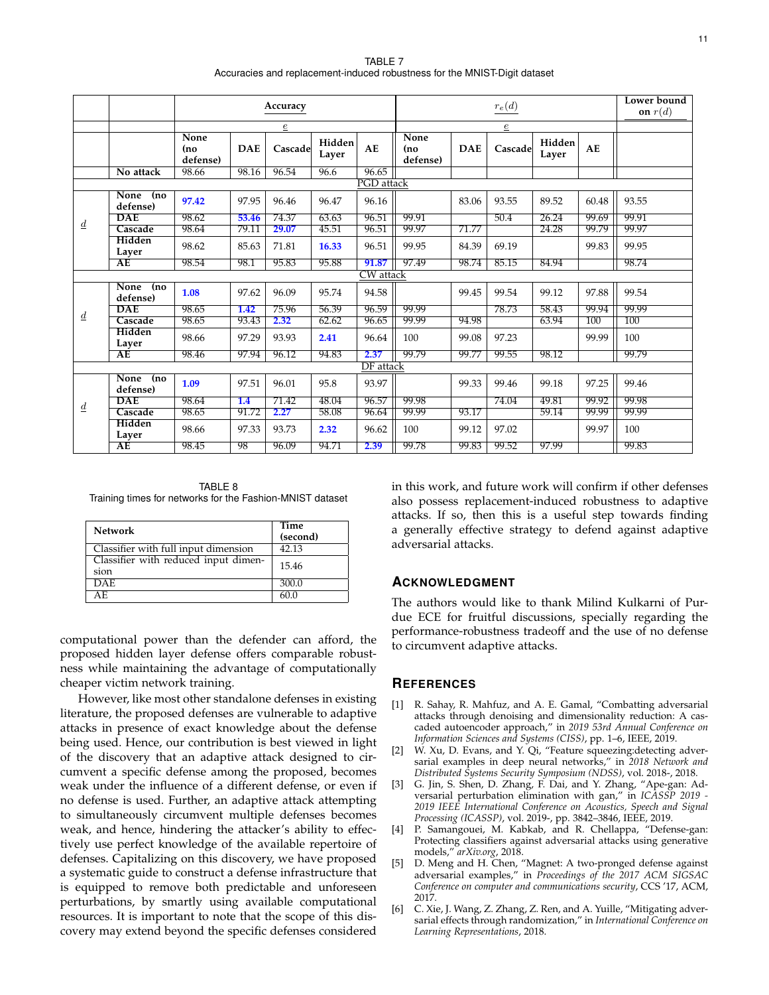TABLE 7 Accuracies and replacement-induced robustness for the MNIST-Digit dataset

<span id="page-10-6"></span>

|                 |                          |                          |            | Accuracy       |                 |                  | $r_e(d)$                |            |         |                 |       | Lower bound<br>on $r(d)$ |
|-----------------|--------------------------|--------------------------|------------|----------------|-----------------|------------------|-------------------------|------------|---------|-----------------|-------|--------------------------|
|                 |                          |                          |            | $\overline{e}$ |                 |                  | $\underline{e}$         |            |         |                 |       |                          |
|                 |                          | None<br>(no)<br>defense) | <b>DAE</b> | Cascade        | Hidden<br>Layer | AE               | None<br>(no<br>defense) | <b>DAE</b> | Cascade | Hidden<br>Layer | AE    |                          |
|                 | No attack                | 98.66                    | 98.16      | 96.54          | 96.6            | 96.65            |                         |            |         |                 |       |                          |
| PGD attack      |                          |                          |            |                |                 |                  |                         |            |         |                 |       |                          |
|                 | None (no<br>defense)     | 97.42                    | 97.95      | 96.46          | 96.47           | 96.16            |                         | 83.06      | 93.55   | 89.52           | 60.48 | 93.55                    |
| $\underline{d}$ | <b>DAE</b>               | 98.62                    | 53.46      | 74.37          | 63.63           | 96.51            | 99.91                   |            | 50.4    | 26.24           | 99.69 | 99.91                    |
|                 | Cascade                  | 98.64                    | 79.11      | 29.07          | 45.51           | 96.51            | 99.97                   | 71.77      |         | 24.28           | 99.79 | 99.97                    |
|                 | Hidden<br>Layer          | 98.62                    | 85.63      | 71.81          | 16.33           | 96.51            | 99.95                   | 84.39      | 69.19   |                 | 99.83 | 99.95                    |
|                 | AE                       | 98.54                    | 98.1       | 95.83          | 95.88           | 91.87            | 97.49                   | 98.74      | 85.15   | 84.94           |       | 98.74                    |
|                 |                          |                          |            |                |                 | <b>CW</b> attack |                         |            |         |                 |       |                          |
|                 | None<br>(no)<br>defense) | 1.08                     | 97.62      | 96.09          | 95.74           | 94.58            |                         | 99.45      | 99.54   | 99.12           | 97.88 | 99.54                    |
|                 | <b>DAE</b>               | 98.65                    | 1.42       | 75.96          | 56.39           | 96.59            | 99.99                   |            | 78.73   | 58.43           | 99.94 | 99.99                    |
| $\underline{d}$ | Cascade                  | 98.65                    | 93.43      | 2.32           | 62.62           | 96.65            | 99.99                   | 94.98      |         | 63.94           | 100   | 100                      |
|                 | Hidden<br>Layer          | 98.66                    | 97.29      | 93.93          | 2.41            | 96.64            | 100                     | 99.08      | 97.23   |                 | 99.99 | 100                      |
|                 | AE                       | 98.46                    | 97.94      | 96.12          | 94.83           | 2.37             | 99.79                   | 99.77      | 99.55   | 98.12           |       | 99.79                    |
|                 |                          |                          |            |                |                 | <b>DF</b> attack |                         |            |         |                 |       |                          |
|                 | None (no<br>defense)     | 1.09                     | 97.51      | 96.01          | 95.8            | 93.97            |                         | 99.33      | 99.46   | 99.18           | 97.25 | 99.46                    |
|                 | <b>DAE</b>               | 98.64                    | 1.4        | 71.42          | 48.04           | 96.57            | 99.98                   |            | 74.04   | 49.81           | 99.92 | 99.98                    |
| $\overline{d}$  | Cascade                  | 98.65                    | 91.72      | 2.27           | 58.08           | 96.64            | 99.99                   | 93.17      |         | 59.14           | 99.99 | 99.99                    |
|                 | Hidden<br>Layer          | 98.66                    | 97.33      | 93.73          | 2.32            | 96.62            | 100                     | 99.12      | 97.02   |                 | 99.97 | 100                      |
|                 | $\overline{AE}$          | 98.45                    | 98         | 96.09          | 94.71           | 2.39             | 99.78                   | 99.83      | 99.52   | 97.99           |       | 99.83                    |

TABLE 8 Training times for networks for the Fashion-MNIST dataset

| <b>Network</b>                               | Time<br>(second) |
|----------------------------------------------|------------------|
| Classifier with full input dimension         | 42.13            |
| Classifier with reduced input dimen-<br>sion | 15.46            |
| <b>DAE</b>                                   | 300.0            |
| AF.                                          | 60.0             |

computational power than the defender can afford, the proposed hidden layer defense offers comparable robustness while maintaining the advantage of computationally cheaper victim network training.

However, like most other standalone defenses in existing literature, the proposed defenses are vulnerable to adaptive attacks in presence of exact knowledge about the defense being used. Hence, our contribution is best viewed in light of the discovery that an adaptive attack designed to circumvent a specific defense among the proposed, becomes weak under the influence of a different defense, or even if no defense is used. Further, an adaptive attack attempting to simultaneously circumvent multiple defenses becomes weak, and hence, hindering the attacker's ability to effectively use perfect knowledge of the available repertoire of defenses. Capitalizing on this discovery, we have proposed a systematic guide to construct a defense infrastructure that is equipped to remove both predictable and unforeseen perturbations, by smartly using available computational resources. It is important to note that the scope of this discovery may extend beyond the specific defenses considered

in this work, and future work will confirm if other defenses also possess replacement-induced robustness to adaptive attacks. If so, then this is a useful step towards finding a generally effective strategy to defend against adaptive adversarial attacks.

## **ACKNOWLEDGMENT**

The authors would like to thank Milind Kulkarni of Purdue ECE for fruitful discussions, specially regarding the performance-robustness tradeoff and the use of no defense to circumvent adaptive attacks.

## **REFERENCES**

- <span id="page-10-0"></span>[1] R. Sahay, R. Mahfuz, and A. E. Gamal, "Combatting adversarial attacks through denoising and dimensionality reduction: A cascaded autoencoder approach," in *2019 53rd Annual Conference on Information Sciences and Systems (CISS)*, pp. 1–6, IEEE, 2019.
- <span id="page-10-1"></span>[2] W. Xu, D. Evans, and Y. Qi, "Feature squeezing:detecting adversarial examples in deep neural networks," in *2018 Network and Distributed Systems Security Symposium (NDSS)*, vol. 2018-, 2018.
- <span id="page-10-2"></span>[3] G. Jin, S. Shen, D. Zhang, F. Dai, and Y. Zhang, "Ape-gan: Adversarial perturbation elimination with gan," in *ICASSP 2019 - 2019 IEEE International Conference on Acoustics, Speech and Signal Processing (ICASSP)*, vol. 2019-, pp. 3842–3846, IEEE, 2019.
- <span id="page-10-3"></span>[4] P. Samangouei, M. Kabkab, and R. Chellappa, "Defense-gan: Protecting classifiers against adversarial attacks using generative models," *arXiv.org*, 2018.
- <span id="page-10-4"></span>[5] D. Meng and H. Chen, "Magnet: A two-pronged defense against adversarial examples," in *Proceedings of the 2017 ACM SIGSAC Conference on computer and communications security*, CCS '17, ACM, 2017.
- <span id="page-10-5"></span>[6] C. Xie, J. Wang, Z. Zhang, Z. Ren, and A. Yuille, "Mitigating adversarial effects through randomization," in *International Conference on Learning Representations*, 2018.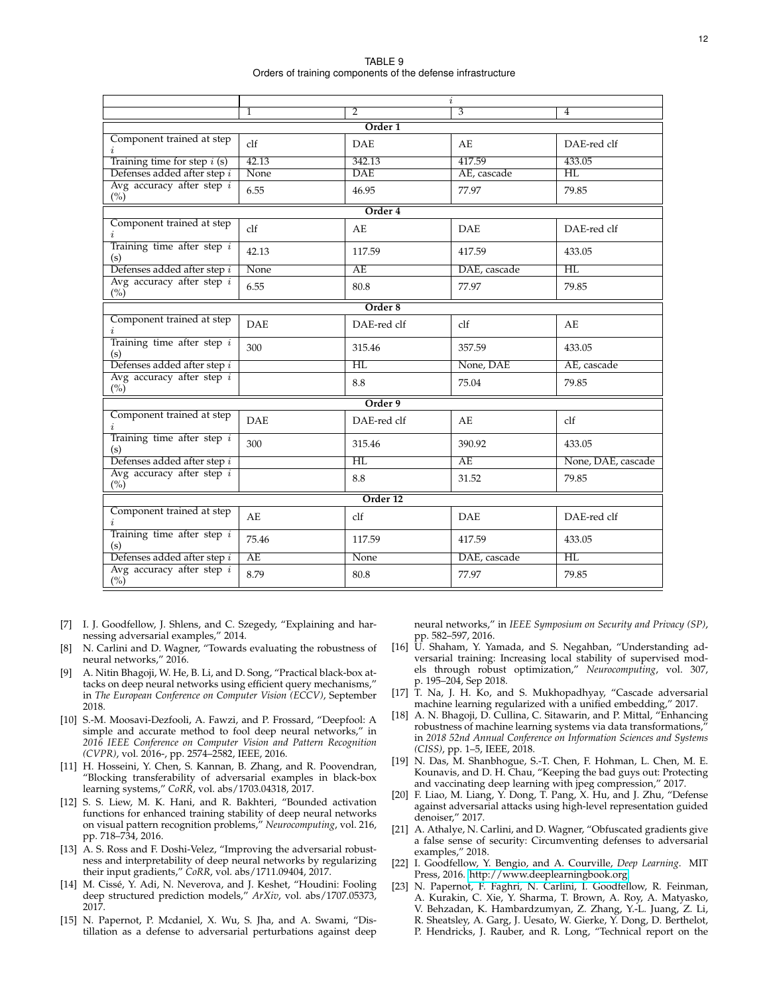TABLE 9 Orders of training components of the defense infrastructure

<span id="page-11-17"></span>

|                                     |                                     |                                     | $\dot{i}$      |                                     |  |  |  |  |  |  |  |
|-------------------------------------|-------------------------------------|-------------------------------------|----------------|-------------------------------------|--|--|--|--|--|--|--|
|                                     | 1                                   | 2                                   | $\overline{3}$ | 4                                   |  |  |  |  |  |  |  |
|                                     |                                     | Order <sub>1</sub>                  |                |                                     |  |  |  |  |  |  |  |
| Component trained at step           | $c$ <sup><math>\bf{If}</math></sup> | <b>DAE</b>                          | AE             | DAE-red clf                         |  |  |  |  |  |  |  |
| Training time for step $i$ (s)      | 42.13                               | 342.13                              | 417.59         | 433.05                              |  |  |  |  |  |  |  |
| Defenses added after step i         | None                                | <b>DAE</b>                          | AE, cascade    | $\overline{\text{HL}}$              |  |  |  |  |  |  |  |
| Avg accuracy after step $i$<br>(%)  | 6.55                                | 46.95                               | 77.97          | 79.85                               |  |  |  |  |  |  |  |
| Order 4                             |                                     |                                     |                |                                     |  |  |  |  |  |  |  |
| Component trained at step           | clf                                 | AE                                  | <b>DAE</b>     | DAE-red clf                         |  |  |  |  |  |  |  |
| Training time after step $i$<br>(s) | 42.13                               | 117.59                              | 417.59         | 433.05                              |  |  |  |  |  |  |  |
| Defenses added after step i         | None                                | AF                                  | DAE, cascade   | $\overline{H L}$                    |  |  |  |  |  |  |  |
| Avg accuracy after step i<br>(%)    | 6.55                                | 80.8                                | 77.97          | 79.85                               |  |  |  |  |  |  |  |
|                                     |                                     | Order 8                             |                |                                     |  |  |  |  |  |  |  |
| Component trained at step           | <b>DAE</b>                          | DAE-red clf                         | clf            | AE                                  |  |  |  |  |  |  |  |
| Training time after step $i$<br>(s) | 300                                 | 315.46                              | 357.59         | 433.05                              |  |  |  |  |  |  |  |
| Defenses added after step i         |                                     | HI.                                 | None, DAE      | AE, cascade                         |  |  |  |  |  |  |  |
| Avg accuracy after step i<br>(%)    |                                     | 8.8                                 | 75.04          | 79.85                               |  |  |  |  |  |  |  |
|                                     |                                     | Order 9                             |                |                                     |  |  |  |  |  |  |  |
| Component trained at step<br>i.     | <b>DAE</b>                          | DAE-red clf                         | AE.            | $c$ <sup><math>\bf{If}</math></sup> |  |  |  |  |  |  |  |
| Training time after step $i$<br>(s) | 300                                 | 315.46                              | 390.92         | 433.05                              |  |  |  |  |  |  |  |
| Defenses added after step i         |                                     | $H\!L$                              | AE             | None, DAE, cascade                  |  |  |  |  |  |  |  |
| Avg accuracy after step i<br>(%)    |                                     | 8.8                                 | 31.52          | 79.85                               |  |  |  |  |  |  |  |
| Order <sub>12</sub>                 |                                     |                                     |                |                                     |  |  |  |  |  |  |  |
| Component trained at step           | AE                                  | $c$ <sup><math>\bf{If}</math></sup> | <b>DAE</b>     | DAE-red clf                         |  |  |  |  |  |  |  |
| Training time after step $i$<br>(s) | 75.46                               | 117.59                              | 417.59         | 433.05                              |  |  |  |  |  |  |  |
| Defenses added after step i         | AE                                  | None                                | DAE, cascade   | $\overline{\text{HL}}$              |  |  |  |  |  |  |  |
| Avg accuracy after step $i$<br>(%)  | 8.79                                | 80.8                                | 77.97          | 79.85                               |  |  |  |  |  |  |  |

- <span id="page-11-0"></span>[7] I. J. Goodfellow, J. Shlens, and C. Szegedy, "Explaining and harnessing adversarial examples," 2014.
- <span id="page-11-1"></span>[8] N. Carlini and D. Wagner, "Towards evaluating the robustness of neural networks," 2016.
- <span id="page-11-2"></span>[9] A. Nitin Bhagoji, W. He, B. Li, and D. Song, "Practical black-box attacks on deep neural networks using efficient query mechanisms," in *The European Conference on Computer Vision (ECCV)*, September 2018.
- <span id="page-11-3"></span>[10] S.-M. Moosavi-Dezfooli, A. Fawzi, and P. Frossard, "Deepfool: A simple and accurate method to fool deep neural networks," in *2016 IEEE Conference on Computer Vision and Pattern Recognition (CVPR)*, vol. 2016-, pp. 2574–2582, IEEE, 2016.
- <span id="page-11-4"></span>[11] H. Hosseini, Y. Chen, S. Kannan, B. Zhang, and R. Poovendran, "Blocking transferability of adversarial examples in black-box learning systems," *CoRR*, vol. abs/1703.04318, 2017.
- <span id="page-11-5"></span>[12] S. S. Liew, M. K. Hani, and R. Bakhteri, "Bounded activation functions for enhanced training stability of deep neural networks on visual pattern recognition problems," *Neurocomputing*, vol. 216, pp. 718–734, 2016.
- <span id="page-11-6"></span>[13] A. S. Ross and F. Doshi-Velez, "Improving the adversarial robustness and interpretability of deep neural networks by regularizing their input gradients," *CoRR*, vol. abs/1711.09404, 2017.
- <span id="page-11-7"></span>[14] M. Cissé, Y. Adi, N. Neverova, and J. Keshet, "Houdini: Fooling deep structured prediction models," *ArXiv*, vol. abs/1707.05373, 2017.
- <span id="page-11-8"></span>[15] N. Papernot, P. Mcdaniel, X. Wu, S. Jha, and A. Swami, "Distillation as a defense to adversarial perturbations against deep

neural networks," in *IEEE Symposium on Security and Privacy (SP)*, pp. 582–597, 2016.

- <span id="page-11-9"></span>[16] U. Shaham, Y. Yamada, and S. Negahban, "Understanding adversarial training: Increasing local stability of supervised models through robust optimization," *Neurocomputing*, vol. 307, p. 195–204, Sep 2018.
- <span id="page-11-10"></span>[17] T. Na, J. H. Ko, and S. Mukhopadhyay, "Cascade adversarial machine learning regularized with a unified embedding," 2017.
- <span id="page-11-11"></span>[18] A. N. Bhagoji, D. Cullina, C. Sitawarin, and P. Mittal, "Enhancing robustness of machine learning systems via data transformations, in *2018 52nd Annual Conference on Information Sciences and Systems (CISS)*, pp. 1–5, IEEE, 2018.
- <span id="page-11-12"></span>[19] N. Das, M. Shanbhogue, S.-T. Chen, F. Hohman, L. Chen, M. E. Kounavis, and D. H. Chau, "Keeping the bad guys out: Protecting and vaccinating deep learning with jpeg compression," 2017.
- <span id="page-11-13"></span>[20] F. Liao, M. Liang, Y. Dong, T. Pang, X. Hu, and J. Zhu, "Defense against adversarial attacks using high-level representation guided denoiser," 2017.
- <span id="page-11-14"></span>[21] A. Athalye, N. Carlini, and D. Wagner, "Obfuscated gradients give a false sense of security: Circumventing defenses to adversarial examples," 2018.
- <span id="page-11-15"></span>[22] I. Goodfellow, Y. Bengio, and A. Courville, *Deep Learning*. MIT Press, 2016. [http://www.deeplearningbook.org.](http://www.deeplearningbook.org)
- <span id="page-11-16"></span>[23] N. Papernot, F. Faghri, N. Carlini, I. Goodfellow, R. Feinman, A. Kurakin, C. Xie, Y. Sharma, T. Brown, A. Roy, A. Matyasko, V. Behzadan, K. Hambardzumyan, Z. Zhang, Y.-L. Juang, Z. Li, R. Sheatsley, A. Garg, J. Uesato, W. Gierke, Y. Dong, D. Berthelot, P. Hendricks, J. Rauber, and R. Long, "Technical report on the